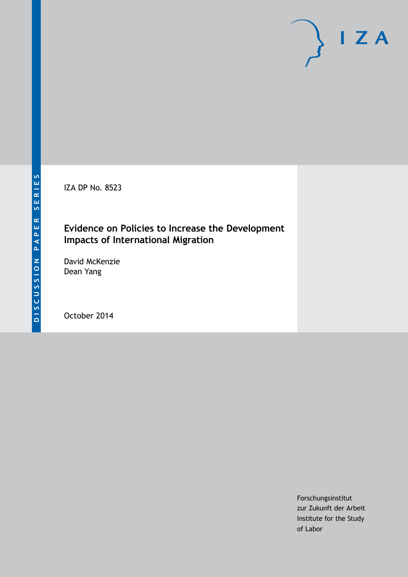IZA DP No. 8523

# **Evidence on Policies to Increase the Development Impacts of International Migration**

David McKenzie Dean Yang

October 2014

Forschungsinstitut zur Zukunft der Arbeit Institute for the Study of Labor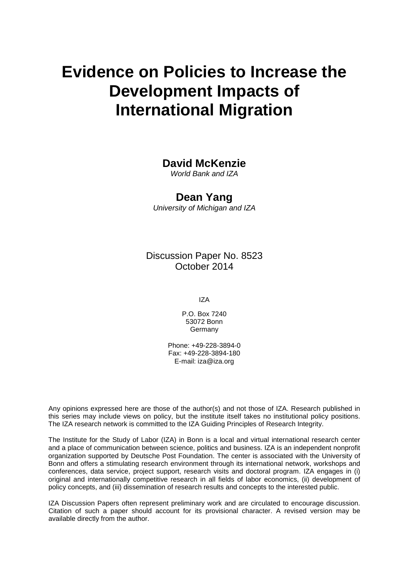# **Evidence on Policies to Increase the Development Impacts of International Migration**

## **David McKenzie**

*World Bank and IZA*

### **Dean Yang**

*University of Michigan and IZA*

Discussion Paper No. 8523 October 2014

IZA

P.O. Box 7240 53072 Bonn **Germany** 

Phone: +49-228-3894-0 Fax: +49-228-3894-180 E-mail: [iza@iza.org](mailto:iza@iza.org)

Any opinions expressed here are those of the author(s) and not those of IZA. Research published in this series may include views on policy, but the institute itself takes no institutional policy positions. The IZA research network is committed to the IZA Guiding Principles of Research Integrity.

The Institute for the Study of Labor (IZA) in Bonn is a local and virtual international research center and a place of communication between science, politics and business. IZA is an independent nonprofit organization supported by Deutsche Post Foundation. The center is associated with the University of Bonn and offers a stimulating research environment through its international network, workshops and conferences, data service, project support, research visits and doctoral program. IZA engages in (i) original and internationally competitive research in all fields of labor economics, (ii) development of policy concepts, and (iii) dissemination of research results and concepts to the interested public.

<span id="page-1-0"></span>IZA Discussion Papers often represent preliminary work and are circulated to encourage discussion. Citation of such a paper should account for its provisional character. A revised version may be available directly from the author.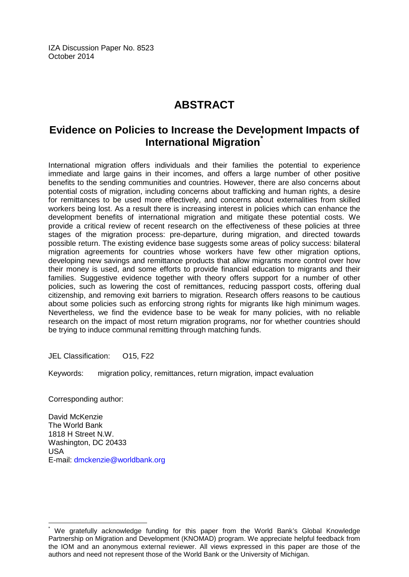IZA Discussion Paper No. 8523 October 2014

# **ABSTRACT**

# **Evidence on Policies to Increase the Development Impacts of International Migration[\\*](#page-1-0)**

International migration offers individuals and their families the potential to experience immediate and large gains in their incomes, and offers a large number of other positive benefits to the sending communities and countries. However, there are also concerns about potential costs of migration, including concerns about trafficking and human rights, a desire for remittances to be used more effectively, and concerns about externalities from skilled workers being lost. As a result there is increasing interest in policies which can enhance the development benefits of international migration and mitigate these potential costs. We provide a critical review of recent research on the effectiveness of these policies at three stages of the migration process: pre-departure, during migration, and directed towards possible return. The existing evidence base suggests some areas of policy success: bilateral migration agreements for countries whose workers have few other migration options, developing new savings and remittance products that allow migrants more control over how their money is used, and some efforts to provide financial education to migrants and their families. Suggestive evidence together with theory offers support for a number of other policies, such as lowering the cost of remittances, reducing passport costs, offering dual citizenship, and removing exit barriers to migration. Research offers reasons to be cautious about some policies such as enforcing strong rights for migrants like high minimum wages. Nevertheless, we find the evidence base to be weak for many policies, with no reliable research on the impact of most return migration programs, nor for whether countries should be trying to induce communal remitting through matching funds.

JEL Classification: 015, F22

Keywords: migration policy, remittances, return migration, impact evaluation

Corresponding author:

David McKenzie The World Bank 1818 H Street N.W. Washington, DC 20433 USA E-mail: [dmckenzie@worldbank.org](mailto:dmckenzie@worldbank.org)

We gratefully acknowledge funding for this paper from the World Bank's Global Knowledge Partnership on Migration and Development (KNOMAD) program. We appreciate helpful feedback from the IOM and an anonymous external reviewer. All views expressed in this paper are those of the authors and need not represent those of the World Bank or the University of Michigan.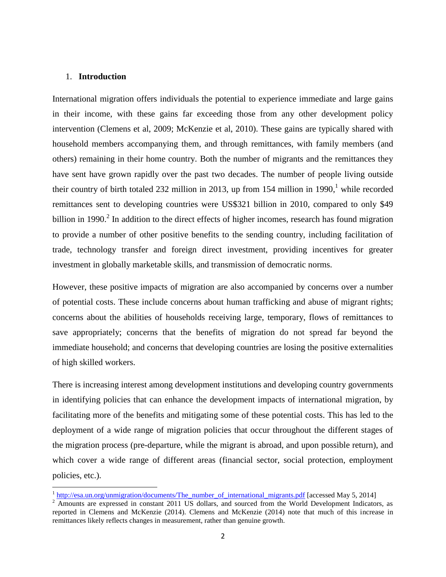#### 1. **Introduction**

International migration offers individuals the potential to experience immediate and large gains in their income, with these gains far exceeding those from any other development policy intervention (Clemens et al, 2009; McKenzie et al, 2010). These gains are typically shared with household members accompanying them, and through remittances, with family members (and others) remaining in their home country. Both the number of migrants and the remittances they have sent have grown rapidly over the past two decades. The number of people living outside their country of birth totaled 232 million in 2013, up from 154 million in 1990,<sup>1</sup> while recorded remittances sent to developing countries were US\$321 billion in 2010, compared to only \$49 billion in 1990.<sup>2</sup> In addition to the direct effects of higher incomes, research has found migration to provide a number of other positive benefits to the sending country, including facilitation of trade, technology transfer and foreign direct investment, providing incentives for greater investment in globally marketable skills, and transmission of democratic norms.

However, these positive impacts of migration are also accompanied by concerns over a number of potential costs. These include concerns about human trafficking and abuse of migrant rights; concerns about the abilities of households receiving large, temporary, flows of remittances to save appropriately; concerns that the benefits of migration do not spread far beyond the immediate household; and concerns that developing countries are losing the positive externalities of high skilled workers.

There is increasing interest among development institutions and developing country governments in identifying policies that can enhance the development impacts of international migration, by facilitating more of the benefits and mitigating some of these potential costs. This has led to the deployment of a wide range of migration policies that occur throughout the different stages of the migration process (pre-departure, while the migrant is abroad, and upon possible return), and which cover a wide range of different areas (financial sector, social protection, employment policies, etc.).

<sup>&</sup>lt;sup>1</sup> http://esa.un.org/unmigration/documents/The number of international migrants.pdf [accessed May 5, 2014]

<sup>&</sup>lt;sup>2</sup> Amounts are expressed in constant 2011 US dollars, and sourced from the World Development Indicators, as reported in Clemens and McKenzie (2014). Clemens and McKenzie (2014) note that much of this increase in remittances likely reflects changes in measurement, rather than genuine growth.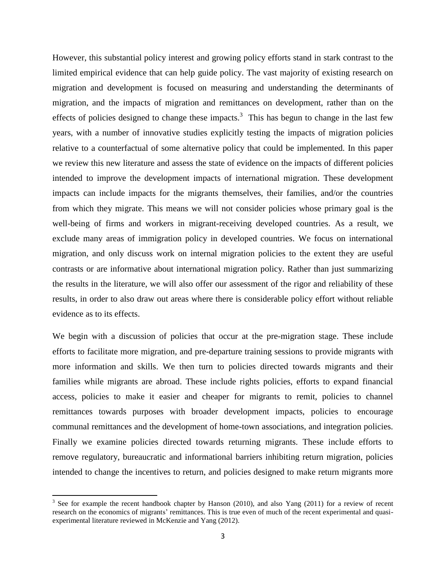However, this substantial policy interest and growing policy efforts stand in stark contrast to the limited empirical evidence that can help guide policy. The vast majority of existing research on migration and development is focused on measuring and understanding the determinants of migration, and the impacts of migration and remittances on development, rather than on the effects of policies designed to change these impacts.<sup>3</sup> This has begun to change in the last few years, with a number of innovative studies explicitly testing the impacts of migration policies relative to a counterfactual of some alternative policy that could be implemented. In this paper we review this new literature and assess the state of evidence on the impacts of different policies intended to improve the development impacts of international migration. These development impacts can include impacts for the migrants themselves, their families, and/or the countries from which they migrate. This means we will not consider policies whose primary goal is the well-being of firms and workers in migrant-receiving developed countries. As a result, we exclude many areas of immigration policy in developed countries. We focus on international migration, and only discuss work on internal migration policies to the extent they are useful contrasts or are informative about international migration policy. Rather than just summarizing the results in the literature, we will also offer our assessment of the rigor and reliability of these results, in order to also draw out areas where there is considerable policy effort without reliable evidence as to its effects.

We begin with a discussion of policies that occur at the pre-migration stage. These include efforts to facilitate more migration, and pre-departure training sessions to provide migrants with more information and skills. We then turn to policies directed towards migrants and their families while migrants are abroad. These include rights policies, efforts to expand financial access, policies to make it easier and cheaper for migrants to remit, policies to channel remittances towards purposes with broader development impacts, policies to encourage communal remittances and the development of home-town associations, and integration policies. Finally we examine policies directed towards returning migrants. These include efforts to remove regulatory, bureaucratic and informational barriers inhibiting return migration, policies intended to change the incentives to return, and policies designed to make return migrants more

 $3$  See for example the recent handbook chapter by Hanson (2010), and also Yang (2011) for a review of recent research on the economics of migrants' remittances. This is true even of much of the recent experimental and quasiexperimental literature reviewed in McKenzie and Yang (2012).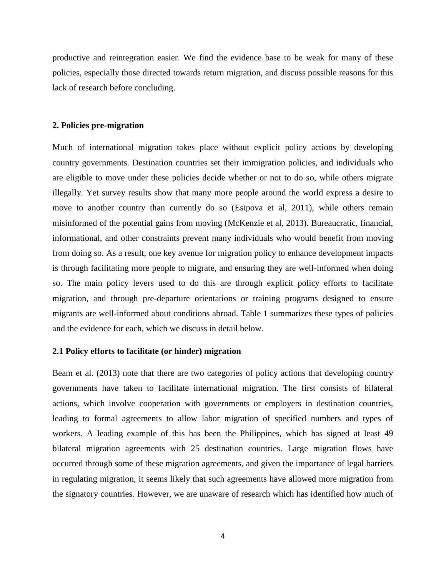productive and reintegration easier. We find the evidence base to be weak for many of these policies, especially those directed towards return migration, and discuss possible reasons for this lack of research before concluding.

#### **2. Policies pre-migration**

Much of international migration takes place without explicit policy actions by developing country governments. Destination countries set their immigration policies, and individuals who are eligible to move under these policies decide whether or not to do so, while others migrate illegally. Yet survey results show that many more people around the world express a desire to move to another country than currently do so (Esipova et al, 2011), while others remain misinformed of the potential gains from moving (McKenzie et al, 2013). Bureaucratic, financial, informational, and other constraints prevent many individuals who would benefit from moving from doing so. As a result, one key avenue for migration policy to enhance development impacts is through facilitating more people to migrate, and ensuring they are well-informed when doing so. The main policy levers used to do this are through explicit policy efforts to facilitate migration, and through pre-departure orientations or training programs designed to ensure migrants are well-informed about conditions abroad. Table 1 summarizes these types of policies and the evidence for each, which we discuss in detail below.

#### **2.1 Policy efforts to facilitate (or hinder) migration**

Beam et al. (2013) note that there are two categories of policy actions that developing country governments have taken to facilitate international migration. The first consists of bilateral actions, which involve cooperation with governments or employers in destination countries, leading to formal agreements to allow labor migration of specified numbers and types of workers. A leading example of this has been the Philippines, which has signed at least 49 bilateral migration agreements with 25 destination countries. Large migration flows have occurred through some of these migration agreements, and given the importance of legal barriers in regulating migration, it seems likely that such agreements have allowed more migration from the signatory countries. However, we are unaware of research which has identified how much of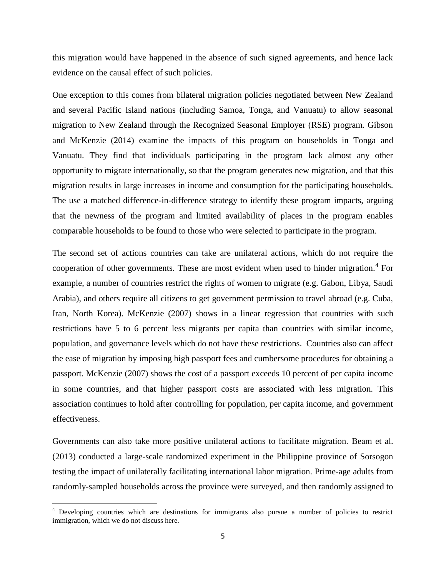this migration would have happened in the absence of such signed agreements, and hence lack evidence on the causal effect of such policies.

One exception to this comes from bilateral migration policies negotiated between New Zealand and several Pacific Island nations (including Samoa, Tonga, and Vanuatu) to allow seasonal migration to New Zealand through the Recognized Seasonal Employer (RSE) program. Gibson and McKenzie (2014) examine the impacts of this program on households in Tonga and Vanuatu. They find that individuals participating in the program lack almost any other opportunity to migrate internationally, so that the program generates new migration, and that this migration results in large increases in income and consumption for the participating households. The use a matched difference-in-difference strategy to identify these program impacts, arguing that the newness of the program and limited availability of places in the program enables comparable households to be found to those who were selected to participate in the program.

The second set of actions countries can take are unilateral actions, which do not require the cooperation of other governments. These are most evident when used to hinder migration.<sup>4</sup> For example, a number of countries restrict the rights of women to migrate (e.g. Gabon, Libya, Saudi Arabia), and others require all citizens to get government permission to travel abroad (e.g. Cuba, Iran, North Korea). McKenzie (2007) shows in a linear regression that countries with such restrictions have 5 to 6 percent less migrants per capita than countries with similar income, population, and governance levels which do not have these restrictions. Countries also can affect the ease of migration by imposing high passport fees and cumbersome procedures for obtaining a passport. McKenzie (2007) shows the cost of a passport exceeds 10 percent of per capita income in some countries, and that higher passport costs are associated with less migration. This association continues to hold after controlling for population, per capita income, and government effectiveness.

Governments can also take more positive unilateral actions to facilitate migration. Beam et al. (2013) conducted a large-scale randomized experiment in the Philippine province of Sorsogon testing the impact of unilaterally facilitating international labor migration. Prime-age adults from randomly-sampled households across the province were surveyed, and then randomly assigned to

<sup>&</sup>lt;sup>4</sup> Developing countries which are destinations for immigrants also pursue a number of policies to restrict immigration, which we do not discuss here.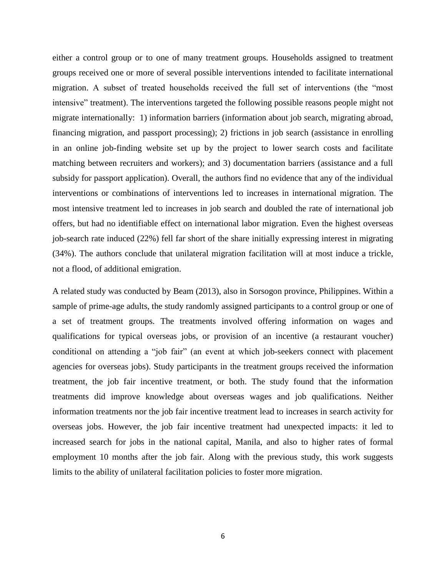either a control group or to one of many treatment groups. Households assigned to treatment groups received one or more of several possible interventions intended to facilitate international migration. A subset of treated households received the full set of interventions (the "most intensive" treatment). The interventions targeted the following possible reasons people might not migrate internationally: 1) information barriers (information about job search, migrating abroad, financing migration, and passport processing); 2) frictions in job search (assistance in enrolling in an online job-finding website set up by the project to lower search costs and facilitate matching between recruiters and workers); and 3) documentation barriers (assistance and a full subsidy for passport application). Overall, the authors find no evidence that any of the individual interventions or combinations of interventions led to increases in international migration. The most intensive treatment led to increases in job search and doubled the rate of international job offers, but had no identifiable effect on international labor migration. Even the highest overseas job-search rate induced (22%) fell far short of the share initially expressing interest in migrating (34%). The authors conclude that unilateral migration facilitation will at most induce a trickle, not a flood, of additional emigration.

A related study was conducted by Beam (2013), also in Sorsogon province, Philippines. Within a sample of prime-age adults, the study randomly assigned participants to a control group or one of a set of treatment groups. The treatments involved offering information on wages and qualifications for typical overseas jobs, or provision of an incentive (a restaurant voucher) conditional on attending a "job fair" (an event at which job-seekers connect with placement agencies for overseas jobs). Study participants in the treatment groups received the information treatment, the job fair incentive treatment, or both. The study found that the information treatments did improve knowledge about overseas wages and job qualifications. Neither information treatments nor the job fair incentive treatment lead to increases in search activity for overseas jobs. However, the job fair incentive treatment had unexpected impacts: it led to increased search for jobs in the national capital, Manila, and also to higher rates of formal employment 10 months after the job fair. Along with the previous study, this work suggests limits to the ability of unilateral facilitation policies to foster more migration.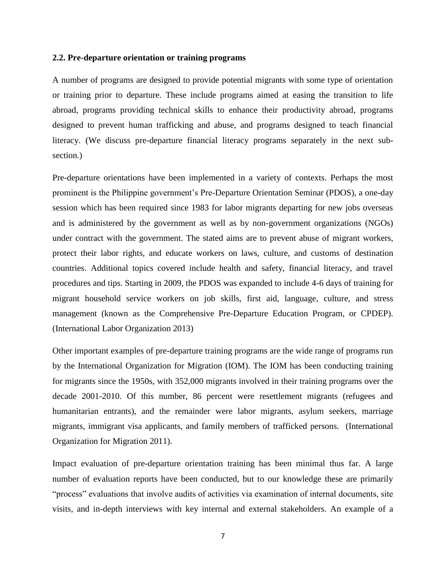#### **2.2. Pre-departure orientation or training programs**

A number of programs are designed to provide potential migrants with some type of orientation or training prior to departure. These include programs aimed at easing the transition to life abroad, programs providing technical skills to enhance their productivity abroad, programs designed to prevent human trafficking and abuse, and programs designed to teach financial literacy. (We discuss pre-departure financial literacy programs separately in the next subsection.)

Pre-departure orientations have been implemented in a variety of contexts. Perhaps the most prominent is the Philippine government's Pre-Departure Orientation Seminar (PDOS), a one-day session which has been required since 1983 for labor migrants departing for new jobs overseas and is administered by the government as well as by non-government organizations (NGOs) under contract with the government. The stated aims are to prevent abuse of migrant workers, protect their labor rights, and educate workers on laws, culture, and customs of destination countries. Additional topics covered include health and safety, financial literacy, and travel procedures and tips. Starting in 2009, the PDOS was expanded to include 4-6 days of training for migrant household service workers on job skills, first aid, language, culture, and stress management (known as the Comprehensive Pre-Departure Education Program, or CPDEP). (International Labor Organization 2013)

Other important examples of pre-departure training programs are the wide range of programs run by the International Organization for Migration (IOM). The IOM has been conducting training for migrants since the 1950s, with 352,000 migrants involved in their training programs over the decade 2001-2010. Of this number, 86 percent were resettlement migrants (refugees and humanitarian entrants), and the remainder were labor migrants, asylum seekers, marriage migrants, immigrant visa applicants, and family members of trafficked persons. (International Organization for Migration 2011).

Impact evaluation of pre-departure orientation training has been minimal thus far. A large number of evaluation reports have been conducted, but to our knowledge these are primarily "process" evaluations that involve audits of activities via examination of internal documents, site visits, and in-depth interviews with key internal and external stakeholders. An example of a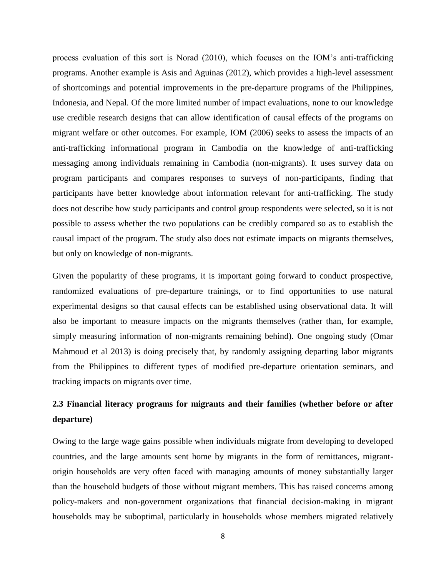process evaluation of this sort is Norad (2010), which focuses on the IOM's anti-trafficking programs. Another example is Asis and Aguinas (2012), which provides a high-level assessment of shortcomings and potential improvements in the pre-departure programs of the Philippines, Indonesia, and Nepal. Of the more limited number of impact evaluations, none to our knowledge use credible research designs that can allow identification of causal effects of the programs on migrant welfare or other outcomes. For example, IOM (2006) seeks to assess the impacts of an anti-trafficking informational program in Cambodia on the knowledge of anti-trafficking messaging among individuals remaining in Cambodia (non-migrants). It uses survey data on program participants and compares responses to surveys of non-participants, finding that participants have better knowledge about information relevant for anti-trafficking. The study does not describe how study participants and control group respondents were selected, so it is not possible to assess whether the two populations can be credibly compared so as to establish the causal impact of the program. The study also does not estimate impacts on migrants themselves, but only on knowledge of non-migrants.

Given the popularity of these programs, it is important going forward to conduct prospective, randomized evaluations of pre-departure trainings, or to find opportunities to use natural experimental designs so that causal effects can be established using observational data. It will also be important to measure impacts on the migrants themselves (rather than, for example, simply measuring information of non-migrants remaining behind). One ongoing study (Omar Mahmoud et al 2013) is doing precisely that, by randomly assigning departing labor migrants from the Philippines to different types of modified pre-departure orientation seminars, and tracking impacts on migrants over time.

## **2.3 Financial literacy programs for migrants and their families (whether before or after departure)**

Owing to the large wage gains possible when individuals migrate from developing to developed countries, and the large amounts sent home by migrants in the form of remittances, migrantorigin households are very often faced with managing amounts of money substantially larger than the household budgets of those without migrant members. This has raised concerns among policy-makers and non-government organizations that financial decision-making in migrant households may be suboptimal, particularly in households whose members migrated relatively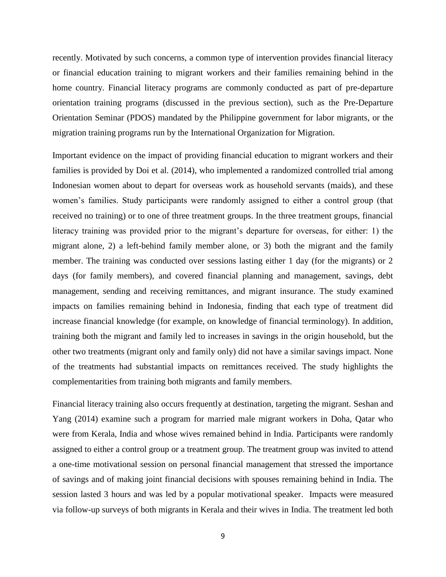recently. Motivated by such concerns, a common type of intervention provides financial literacy or financial education training to migrant workers and their families remaining behind in the home country. Financial literacy programs are commonly conducted as part of pre-departure orientation training programs (discussed in the previous section), such as the Pre-Departure Orientation Seminar (PDOS) mandated by the Philippine government for labor migrants, or the migration training programs run by the International Organization for Migration.

Important evidence on the impact of providing financial education to migrant workers and their families is provided by Doi et al. (2014), who implemented a randomized controlled trial among Indonesian women about to depart for overseas work as household servants (maids), and these women's families. Study participants were randomly assigned to either a control group (that received no training) or to one of three treatment groups. In the three treatment groups, financial literacy training was provided prior to the migrant's departure for overseas, for either: 1) the migrant alone, 2) a left-behind family member alone, or 3) both the migrant and the family member. The training was conducted over sessions lasting either 1 day (for the migrants) or 2 days (for family members), and covered financial planning and management, savings, debt management, sending and receiving remittances, and migrant insurance. The study examined impacts on families remaining behind in Indonesia, finding that each type of treatment did increase financial knowledge (for example, on knowledge of financial terminology). In addition, training both the migrant and family led to increases in savings in the origin household, but the other two treatments (migrant only and family only) did not have a similar savings impact. None of the treatments had substantial impacts on remittances received. The study highlights the complementarities from training both migrants and family members.

Financial literacy training also occurs frequently at destination, targeting the migrant. Seshan and Yang (2014) examine such a program for married male migrant workers in Doha, Qatar who were from Kerala, India and whose wives remained behind in India. Participants were randomly assigned to either a control group or a treatment group. The treatment group was invited to attend a one-time motivational session on personal financial management that stressed the importance of savings and of making joint financial decisions with spouses remaining behind in India. The session lasted 3 hours and was led by a popular motivational speaker. Impacts were measured via follow-up surveys of both migrants in Kerala and their wives in India. The treatment led both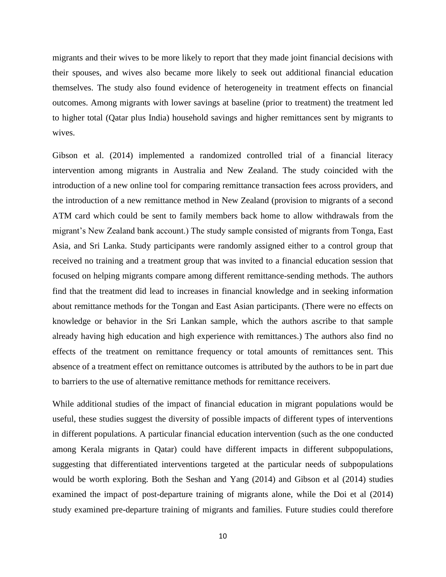migrants and their wives to be more likely to report that they made joint financial decisions with their spouses, and wives also became more likely to seek out additional financial education themselves. The study also found evidence of heterogeneity in treatment effects on financial outcomes. Among migrants with lower savings at baseline (prior to treatment) the treatment led to higher total (Qatar plus India) household savings and higher remittances sent by migrants to wives.

Gibson et al. (2014) implemented a randomized controlled trial of a financial literacy intervention among migrants in Australia and New Zealand. The study coincided with the introduction of a new online tool for comparing remittance transaction fees across providers, and the introduction of a new remittance method in New Zealand (provision to migrants of a second ATM card which could be sent to family members back home to allow withdrawals from the migrant's New Zealand bank account.) The study sample consisted of migrants from Tonga, East Asia, and Sri Lanka. Study participants were randomly assigned either to a control group that received no training and a treatment group that was invited to a financial education session that focused on helping migrants compare among different remittance-sending methods. The authors find that the treatment did lead to increases in financial knowledge and in seeking information about remittance methods for the Tongan and East Asian participants. (There were no effects on knowledge or behavior in the Sri Lankan sample, which the authors ascribe to that sample already having high education and high experience with remittances.) The authors also find no effects of the treatment on remittance frequency or total amounts of remittances sent. This absence of a treatment effect on remittance outcomes is attributed by the authors to be in part due to barriers to the use of alternative remittance methods for remittance receivers.

While additional studies of the impact of financial education in migrant populations would be useful, these studies suggest the diversity of possible impacts of different types of interventions in different populations. A particular financial education intervention (such as the one conducted among Kerala migrants in Qatar) could have different impacts in different subpopulations, suggesting that differentiated interventions targeted at the particular needs of subpopulations would be worth exploring. Both the Seshan and Yang (2014) and Gibson et al (2014) studies examined the impact of post-departure training of migrants alone, while the Doi et al (2014) study examined pre-departure training of migrants and families. Future studies could therefore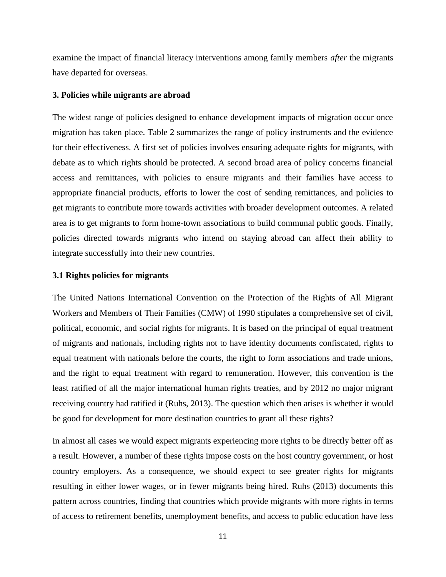examine the impact of financial literacy interventions among family members *after* the migrants have departed for overseas.

#### **3. Policies while migrants are abroad**

The widest range of policies designed to enhance development impacts of migration occur once migration has taken place. Table 2 summarizes the range of policy instruments and the evidence for their effectiveness. A first set of policies involves ensuring adequate rights for migrants, with debate as to which rights should be protected. A second broad area of policy concerns financial access and remittances, with policies to ensure migrants and their families have access to appropriate financial products, efforts to lower the cost of sending remittances, and policies to get migrants to contribute more towards activities with broader development outcomes. A related area is to get migrants to form home-town associations to build communal public goods. Finally, policies directed towards migrants who intend on staying abroad can affect their ability to integrate successfully into their new countries.

#### **3.1 Rights policies for migrants**

The United Nations International Convention on the Protection of the Rights of All Migrant Workers and Members of Their Families (CMW) of 1990 stipulates a comprehensive set of civil, political, economic, and social rights for migrants. It is based on the principal of equal treatment of migrants and nationals, including rights not to have identity documents confiscated, rights to equal treatment with nationals before the courts, the right to form associations and trade unions, and the right to equal treatment with regard to remuneration. However, this convention is the least ratified of all the major international human rights treaties, and by 2012 no major migrant receiving country had ratified it (Ruhs, 2013). The question which then arises is whether it would be good for development for more destination countries to grant all these rights?

In almost all cases we would expect migrants experiencing more rights to be directly better off as a result. However, a number of these rights impose costs on the host country government, or host country employers. As a consequence, we should expect to see greater rights for migrants resulting in either lower wages, or in fewer migrants being hired. Ruhs (2013) documents this pattern across countries, finding that countries which provide migrants with more rights in terms of access to retirement benefits, unemployment benefits, and access to public education have less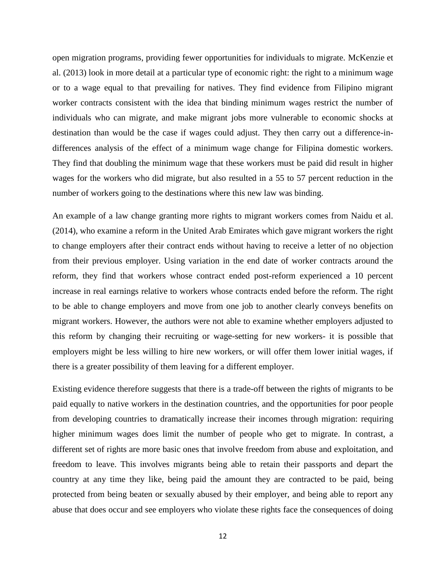open migration programs, providing fewer opportunities for individuals to migrate. McKenzie et al. (2013) look in more detail at a particular type of economic right: the right to a minimum wage or to a wage equal to that prevailing for natives. They find evidence from Filipino migrant worker contracts consistent with the idea that binding minimum wages restrict the number of individuals who can migrate, and make migrant jobs more vulnerable to economic shocks at destination than would be the case if wages could adjust. They then carry out a difference-indifferences analysis of the effect of a minimum wage change for Filipina domestic workers. They find that doubling the minimum wage that these workers must be paid did result in higher wages for the workers who did migrate, but also resulted in a 55 to 57 percent reduction in the number of workers going to the destinations where this new law was binding.

An example of a law change granting more rights to migrant workers comes from Naidu et al. (2014), who examine a reform in the United Arab Emirates which gave migrant workers the right to change employers after their contract ends without having to receive a letter of no objection from their previous employer. Using variation in the end date of worker contracts around the reform, they find that workers whose contract ended post-reform experienced a 10 percent increase in real earnings relative to workers whose contracts ended before the reform. The right to be able to change employers and move from one job to another clearly conveys benefits on migrant workers. However, the authors were not able to examine whether employers adjusted to this reform by changing their recruiting or wage-setting for new workers- it is possible that employers might be less willing to hire new workers, or will offer them lower initial wages, if there is a greater possibility of them leaving for a different employer.

Existing evidence therefore suggests that there is a trade-off between the rights of migrants to be paid equally to native workers in the destination countries, and the opportunities for poor people from developing countries to dramatically increase their incomes through migration: requiring higher minimum wages does limit the number of people who get to migrate. In contrast, a different set of rights are more basic ones that involve freedom from abuse and exploitation, and freedom to leave. This involves migrants being able to retain their passports and depart the country at any time they like, being paid the amount they are contracted to be paid, being protected from being beaten or sexually abused by their employer, and being able to report any abuse that does occur and see employers who violate these rights face the consequences of doing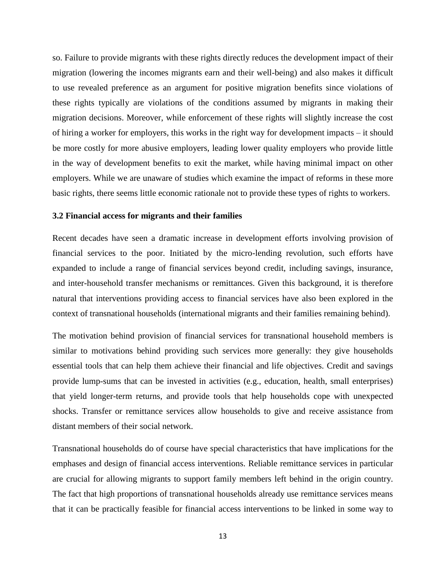so. Failure to provide migrants with these rights directly reduces the development impact of their migration (lowering the incomes migrants earn and their well-being) and also makes it difficult to use revealed preference as an argument for positive migration benefits since violations of these rights typically are violations of the conditions assumed by migrants in making their migration decisions. Moreover, while enforcement of these rights will slightly increase the cost of hiring a worker for employers, this works in the right way for development impacts – it should be more costly for more abusive employers, leading lower quality employers who provide little in the way of development benefits to exit the market, while having minimal impact on other employers. While we are unaware of studies which examine the impact of reforms in these more basic rights, there seems little economic rationale not to provide these types of rights to workers.

#### **3.2 Financial access for migrants and their families**

Recent decades have seen a dramatic increase in development efforts involving provision of financial services to the poor. Initiated by the micro-lending revolution, such efforts have expanded to include a range of financial services beyond credit, including savings, insurance, and inter-household transfer mechanisms or remittances. Given this background, it is therefore natural that interventions providing access to financial services have also been explored in the context of transnational households (international migrants and their families remaining behind).

The motivation behind provision of financial services for transnational household members is similar to motivations behind providing such services more generally: they give households essential tools that can help them achieve their financial and life objectives. Credit and savings provide lump-sums that can be invested in activities (e.g., education, health, small enterprises) that yield longer-term returns, and provide tools that help households cope with unexpected shocks. Transfer or remittance services allow households to give and receive assistance from distant members of their social network.

Transnational households do of course have special characteristics that have implications for the emphases and design of financial access interventions. Reliable remittance services in particular are crucial for allowing migrants to support family members left behind in the origin country. The fact that high proportions of transnational households already use remittance services means that it can be practically feasible for financial access interventions to be linked in some way to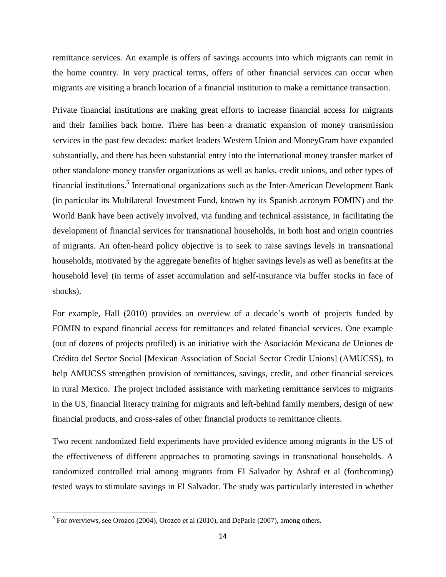remittance services. An example is offers of savings accounts into which migrants can remit in the home country. In very practical terms, offers of other financial services can occur when migrants are visiting a branch location of a financial institution to make a remittance transaction.

Private financial institutions are making great efforts to increase financial access for migrants and their families back home. There has been a dramatic expansion of money transmission services in the past few decades: market leaders Western Union and MoneyGram have expanded substantially, and there has been substantial entry into the international money transfer market of other standalone money transfer organizations as well as banks, credit unions, and other types of financial institutions.<sup>5</sup> International organizations such as the Inter-American Development Bank (in particular its Multilateral Investment Fund, known by its Spanish acronym FOMIN) and the World Bank have been actively involved, via funding and technical assistance, in facilitating the development of financial services for transnational households, in both host and origin countries of migrants. An often-heard policy objective is to seek to raise savings levels in transnational households, motivated by the aggregate benefits of higher savings levels as well as benefits at the household level (in terms of asset accumulation and self-insurance via buffer stocks in face of shocks).

For example, Hall (2010) provides an overview of a decade's worth of projects funded by FOMIN to expand financial access for remittances and related financial services. One example (out of dozens of projects profiled) is an initiative with the Asociación Mexicana de Uniones de Crédito del Sector Social [Mexican Association of Social Sector Credit Unions] (AMUCSS), to help AMUCSS strengthen provision of remittances, savings, credit, and other financial services in rural Mexico. The project included assistance with marketing remittance services to migrants in the US, financial literacy training for migrants and left-behind family members, design of new financial products, and cross-sales of other financial products to remittance clients.

Two recent randomized field experiments have provided evidence among migrants in the US of the effectiveness of different approaches to promoting savings in transnational households. A randomized controlled trial among migrants from El Salvador by Ashraf et al (forthcoming) tested ways to stimulate savings in El Salvador. The study was particularly interested in whether

 $<sup>5</sup>$  For overviews, see Orozco (2004), Orozco et al (2010), and DeParle (2007), among others.</sup>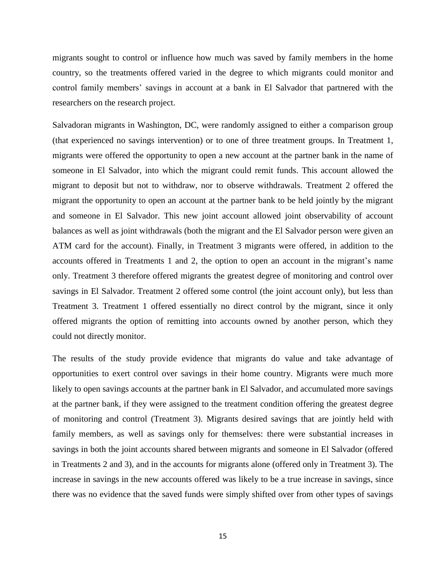migrants sought to control or influence how much was saved by family members in the home country, so the treatments offered varied in the degree to which migrants could monitor and control family members' savings in account at a bank in El Salvador that partnered with the researchers on the research project.

Salvadoran migrants in Washington, DC, were randomly assigned to either a comparison group (that experienced no savings intervention) or to one of three treatment groups. In Treatment 1, migrants were offered the opportunity to open a new account at the partner bank in the name of someone in El Salvador, into which the migrant could remit funds. This account allowed the migrant to deposit but not to withdraw, nor to observe withdrawals. Treatment 2 offered the migrant the opportunity to open an account at the partner bank to be held jointly by the migrant and someone in El Salvador. This new joint account allowed joint observability of account balances as well as joint withdrawals (both the migrant and the El Salvador person were given an ATM card for the account). Finally, in Treatment 3 migrants were offered, in addition to the accounts offered in Treatments 1 and 2, the option to open an account in the migrant's name only. Treatment 3 therefore offered migrants the greatest degree of monitoring and control over savings in El Salvador. Treatment 2 offered some control (the joint account only), but less than Treatment 3. Treatment 1 offered essentially no direct control by the migrant, since it only offered migrants the option of remitting into accounts owned by another person, which they could not directly monitor.

The results of the study provide evidence that migrants do value and take advantage of opportunities to exert control over savings in their home country. Migrants were much more likely to open savings accounts at the partner bank in El Salvador, and accumulated more savings at the partner bank, if they were assigned to the treatment condition offering the greatest degree of monitoring and control (Treatment 3). Migrants desired savings that are jointly held with family members, as well as savings only for themselves: there were substantial increases in savings in both the joint accounts shared between migrants and someone in El Salvador (offered in Treatments 2 and 3), and in the accounts for migrants alone (offered only in Treatment 3). The increase in savings in the new accounts offered was likely to be a true increase in savings, since there was no evidence that the saved funds were simply shifted over from other types of savings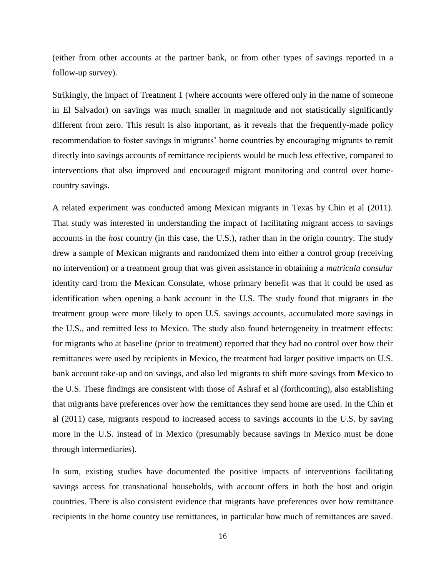(either from other accounts at the partner bank, or from other types of savings reported in a follow-up survey).

Strikingly, the impact of Treatment 1 (where accounts were offered only in the name of someone in El Salvador) on savings was much smaller in magnitude and not statistically significantly different from zero. This result is also important, as it reveals that the frequently-made policy recommendation to foster savings in migrants' home countries by encouraging migrants to remit directly into savings accounts of remittance recipients would be much less effective, compared to interventions that also improved and encouraged migrant monitoring and control over homecountry savings.

A related experiment was conducted among Mexican migrants in Texas by Chin et al (2011). That study was interested in understanding the impact of facilitating migrant access to savings accounts in the *host* country (in this case, the U.S.), rather than in the origin country. The study drew a sample of Mexican migrants and randomized them into either a control group (receiving no intervention) or a treatment group that was given assistance in obtaining a *matricula consular* identity card from the Mexican Consulate, whose primary benefit was that it could be used as identification when opening a bank account in the U.S. The study found that migrants in the treatment group were more likely to open U.S. savings accounts, accumulated more savings in the U.S., and remitted less to Mexico. The study also found heterogeneity in treatment effects: for migrants who at baseline (prior to treatment) reported that they had no control over how their remittances were used by recipients in Mexico, the treatment had larger positive impacts on U.S. bank account take-up and on savings, and also led migrants to shift more savings from Mexico to the U.S. These findings are consistent with those of Ashraf et al (forthcoming), also establishing that migrants have preferences over how the remittances they send home are used. In the Chin et al (2011) case, migrants respond to increased access to savings accounts in the U.S. by saving more in the U.S. instead of in Mexico (presumably because savings in Mexico must be done through intermediaries).

In sum, existing studies have documented the positive impacts of interventions facilitating savings access for transnational households, with account offers in both the host and origin countries. There is also consistent evidence that migrants have preferences over how remittance recipients in the home country use remittances, in particular how much of remittances are saved.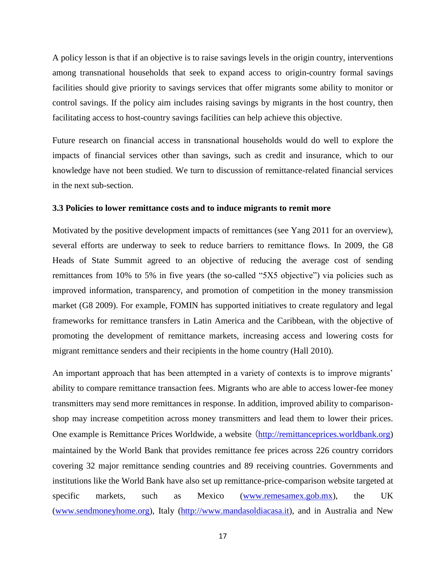A policy lesson is that if an objective is to raise savings levels in the origin country, interventions among transnational households that seek to expand access to origin-country formal savings facilities should give priority to savings services that offer migrants some ability to monitor or control savings. If the policy aim includes raising savings by migrants in the host country, then facilitating access to host-country savings facilities can help achieve this objective.

Future research on financial access in transnational households would do well to explore the impacts of financial services other than savings, such as credit and insurance, which to our knowledge have not been studied. We turn to discussion of remittance-related financial services in the next sub-section.

#### **3.3 Policies to lower remittance costs and to induce migrants to remit more**

Motivated by the positive development impacts of remittances (see Yang 2011 for an overview), several efforts are underway to seek to reduce barriers to remittance flows. In 2009, the G8 Heads of State Summit agreed to an objective of reducing the average cost of sending remittances from 10% to 5% in five years (the so-called "5X5 objective") via policies such as improved information, transparency, and promotion of competition in the money transmission market (G8 2009). For example, FOMIN has supported initiatives to create regulatory and legal frameworks for remittance transfers in Latin America and the Caribbean, with the objective of promoting the development of remittance markets, increasing access and lowering costs for migrant remittance senders and their recipients in the home country (Hall 2010).

An important approach that has been attempted in a variety of contexts is to improve migrants' ability to compare remittance transaction fees. Migrants who are able to access lower-fee money transmitters may send more remittances in response. In addition, improved ability to comparisonshop may increase competition across money transmitters and lead them to lower their prices. One example is Remittance Prices Worldwide, a website ([http://remittanceprices.worldbank.org\)](http://remittanceprices.worldbank.org/) maintained by the World Bank that provides remittance fee prices across 226 country corridors covering 32 major remittance sending countries and 89 receiving countries. Governments and institutions like the World Bank have also set up remittance-price-comparison website targeted at specific markets, such as Mexico [\(www.remesamex.gob.mx\)](http://www.remesamex.gob.mx/), the UK [\(www.sendmoneyhome.org\)](http://www.sendmoneyhome.org/), Italy [\(http://www.mandasoldiacasa.it\)](http://www.mandasoldiacasa.it/), and in Australia and New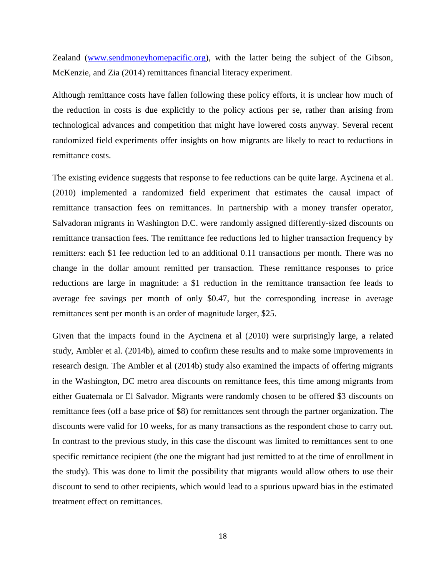Zealand [\(www.sendmoneyhomepacific.org\)](http://www.sendmoneyhomepacific.org/), with the latter being the subject of the Gibson, McKenzie, and Zia (2014) remittances financial literacy experiment.

Although remittance costs have fallen following these policy efforts, it is unclear how much of the reduction in costs is due explicitly to the policy actions per se, rather than arising from technological advances and competition that might have lowered costs anyway. Several recent randomized field experiments offer insights on how migrants are likely to react to reductions in remittance costs.

The existing evidence suggests that response to fee reductions can be quite large. Aycinena et al. (2010) implemented a randomized field experiment that estimates the causal impact of remittance transaction fees on remittances. In partnership with a money transfer operator, Salvadoran migrants in Washington D.C. were randomly assigned differently-sized discounts on remittance transaction fees. The remittance fee reductions led to higher transaction frequency by remitters: each \$1 fee reduction led to an additional 0.11 transactions per month. There was no change in the dollar amount remitted per transaction. These remittance responses to price reductions are large in magnitude: a \$1 reduction in the remittance transaction fee leads to average fee savings per month of only \$0.47, but the corresponding increase in average remittances sent per month is an order of magnitude larger, \$25.

Given that the impacts found in the Aycinena et al (2010) were surprisingly large, a related study, Ambler et al. (2014b), aimed to confirm these results and to make some improvements in research design. The Ambler et al (2014b) study also examined the impacts of offering migrants in the Washington, DC metro area discounts on remittance fees, this time among migrants from either Guatemala or El Salvador. Migrants were randomly chosen to be offered \$3 discounts on remittance fees (off a base price of \$8) for remittances sent through the partner organization. The discounts were valid for 10 weeks, for as many transactions as the respondent chose to carry out. In contrast to the previous study, in this case the discount was limited to remittances sent to one specific remittance recipient (the one the migrant had just remitted to at the time of enrollment in the study). This was done to limit the possibility that migrants would allow others to use their discount to send to other recipients, which would lead to a spurious upward bias in the estimated treatment effect on remittances.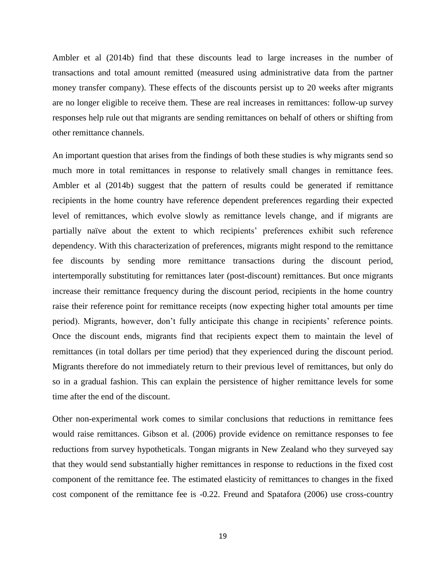Ambler et al (2014b) find that these discounts lead to large increases in the number of transactions and total amount remitted (measured using administrative data from the partner money transfer company). These effects of the discounts persist up to 20 weeks after migrants are no longer eligible to receive them. These are real increases in remittances: follow-up survey responses help rule out that migrants are sending remittances on behalf of others or shifting from other remittance channels.

An important question that arises from the findings of both these studies is why migrants send so much more in total remittances in response to relatively small changes in remittance fees. Ambler et al (2014b) suggest that the pattern of results could be generated if remittance recipients in the home country have reference dependent preferences regarding their expected level of remittances, which evolve slowly as remittance levels change, and if migrants are partially naïve about the extent to which recipients' preferences exhibit such reference dependency. With this characterization of preferences, migrants might respond to the remittance fee discounts by sending more remittance transactions during the discount period, intertemporally substituting for remittances later (post-discount) remittances. But once migrants increase their remittance frequency during the discount period, recipients in the home country raise their reference point for remittance receipts (now expecting higher total amounts per time period). Migrants, however, don't fully anticipate this change in recipients' reference points. Once the discount ends, migrants find that recipients expect them to maintain the level of remittances (in total dollars per time period) that they experienced during the discount period. Migrants therefore do not immediately return to their previous level of remittances, but only do so in a gradual fashion. This can explain the persistence of higher remittance levels for some time after the end of the discount.

Other non-experimental work comes to similar conclusions that reductions in remittance fees would raise remittances. Gibson et al. (2006) provide evidence on remittance responses to fee reductions from survey hypotheticals. Tongan migrants in New Zealand who they surveyed say that they would send substantially higher remittances in response to reductions in the fixed cost component of the remittance fee. The estimated elasticity of remittances to changes in the fixed cost component of the remittance fee is -0.22. Freund and Spatafora (2006) use cross-country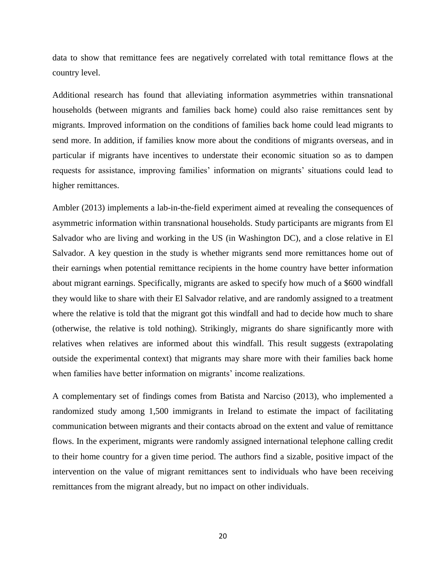data to show that remittance fees are negatively correlated with total remittance flows at the country level.

Additional research has found that alleviating information asymmetries within transnational households (between migrants and families back home) could also raise remittances sent by migrants. Improved information on the conditions of families back home could lead migrants to send more. In addition, if families know more about the conditions of migrants overseas, and in particular if migrants have incentives to understate their economic situation so as to dampen requests for assistance, improving families' information on migrants' situations could lead to higher remittances.

Ambler (2013) implements a lab-in-the-field experiment aimed at revealing the consequences of asymmetric information within transnational households. Study participants are migrants from El Salvador who are living and working in the US (in Washington DC), and a close relative in El Salvador. A key question in the study is whether migrants send more remittances home out of their earnings when potential remittance recipients in the home country have better information about migrant earnings. Specifically, migrants are asked to specify how much of a \$600 windfall they would like to share with their El Salvador relative, and are randomly assigned to a treatment where the relative is told that the migrant got this windfall and had to decide how much to share (otherwise, the relative is told nothing). Strikingly, migrants do share significantly more with relatives when relatives are informed about this windfall. This result suggests (extrapolating outside the experimental context) that migrants may share more with their families back home when families have better information on migrants' income realizations.

A complementary set of findings comes from Batista and Narciso (2013), who implemented a randomized study among 1,500 immigrants in Ireland to estimate the impact of facilitating communication between migrants and their contacts abroad on the extent and value of remittance flows. In the experiment, migrants were randomly assigned international telephone calling credit to their home country for a given time period. The authors find a sizable, positive impact of the intervention on the value of migrant remittances sent to individuals who have been receiving remittances from the migrant already, but no impact on other individuals.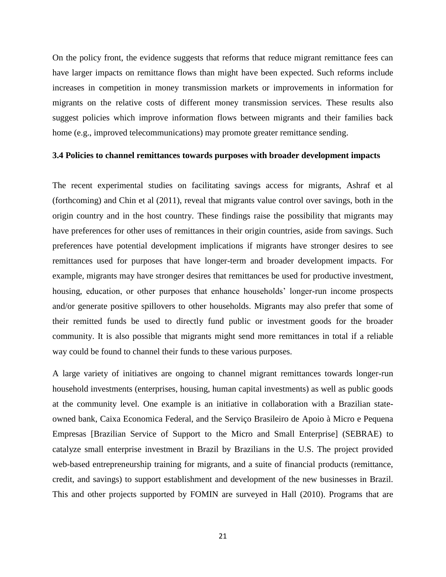On the policy front, the evidence suggests that reforms that reduce migrant remittance fees can have larger impacts on remittance flows than might have been expected. Such reforms include increases in competition in money transmission markets or improvements in information for migrants on the relative costs of different money transmission services. These results also suggest policies which improve information flows between migrants and their families back home (e.g., improved telecommunications) may promote greater remittance sending.

#### **3.4 Policies to channel remittances towards purposes with broader development impacts**

The recent experimental studies on facilitating savings access for migrants, Ashraf et al (forthcoming) and Chin et al (2011), reveal that migrants value control over savings, both in the origin country and in the host country. These findings raise the possibility that migrants may have preferences for other uses of remittances in their origin countries, aside from savings. Such preferences have potential development implications if migrants have stronger desires to see remittances used for purposes that have longer-term and broader development impacts. For example, migrants may have stronger desires that remittances be used for productive investment, housing, education, or other purposes that enhance households' longer-run income prospects and/or generate positive spillovers to other households. Migrants may also prefer that some of their remitted funds be used to directly fund public or investment goods for the broader community. It is also possible that migrants might send more remittances in total if a reliable way could be found to channel their funds to these various purposes.

A large variety of initiatives are ongoing to channel migrant remittances towards longer-run household investments (enterprises, housing, human capital investments) as well as public goods at the community level. One example is an initiative in collaboration with a Brazilian stateowned bank, Caixa Economica Federal, and the Serviço Brasileiro de Apoio à Micro e Pequena Empresas [Brazilian Service of Support to the Micro and Small Enterprise] (SEBRAE) to catalyze small enterprise investment in Brazil by Brazilians in the U.S. The project provided web-based entrepreneurship training for migrants, and a suite of financial products (remittance, credit, and savings) to support establishment and development of the new businesses in Brazil. This and other projects supported by FOMIN are surveyed in Hall (2010). Programs that are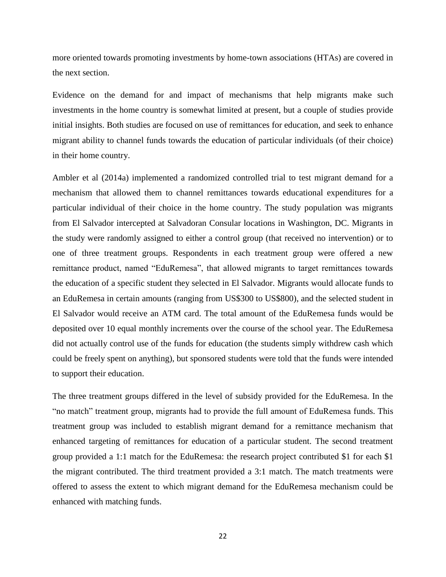more oriented towards promoting investments by home-town associations (HTAs) are covered in the next section.

Evidence on the demand for and impact of mechanisms that help migrants make such investments in the home country is somewhat limited at present, but a couple of studies provide initial insights. Both studies are focused on use of remittances for education, and seek to enhance migrant ability to channel funds towards the education of particular individuals (of their choice) in their home country.

Ambler et al (2014a) implemented a randomized controlled trial to test migrant demand for a mechanism that allowed them to channel remittances towards educational expenditures for a particular individual of their choice in the home country. The study population was migrants from El Salvador intercepted at Salvadoran Consular locations in Washington, DC. Migrants in the study were randomly assigned to either a control group (that received no intervention) or to one of three treatment groups. Respondents in each treatment group were offered a new remittance product, named "EduRemesa", that allowed migrants to target remittances towards the education of a specific student they selected in El Salvador. Migrants would allocate funds to an EduRemesa in certain amounts (ranging from US\$300 to US\$800), and the selected student in El Salvador would receive an ATM card. The total amount of the EduRemesa funds would be deposited over 10 equal monthly increments over the course of the school year. The EduRemesa did not actually control use of the funds for education (the students simply withdrew cash which could be freely spent on anything), but sponsored students were told that the funds were intended to support their education.

The three treatment groups differed in the level of subsidy provided for the EduRemesa. In the "no match" treatment group, migrants had to provide the full amount of EduRemesa funds. This treatment group was included to establish migrant demand for a remittance mechanism that enhanced targeting of remittances for education of a particular student. The second treatment group provided a 1:1 match for the EduRemesa: the research project contributed \$1 for each \$1 the migrant contributed. The third treatment provided a 3:1 match. The match treatments were offered to assess the extent to which migrant demand for the EduRemesa mechanism could be enhanced with matching funds.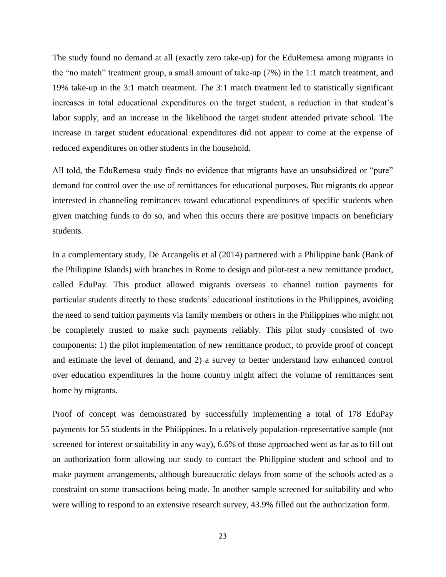The study found no demand at all (exactly zero take-up) for the EduRemesa among migrants in the "no match" treatment group, a small amount of take-up (7%) in the 1:1 match treatment, and 19% take-up in the 3:1 match treatment. The 3:1 match treatment led to statistically significant increases in total educational expenditures on the target student, a reduction in that student's labor supply, and an increase in the likelihood the target student attended private school. The increase in target student educational expenditures did not appear to come at the expense of reduced expenditures on other students in the household.

All told, the EduRemesa study finds no evidence that migrants have an unsubsidized or "pure" demand for control over the use of remittances for educational purposes. But migrants do appear interested in channeling remittances toward educational expenditures of specific students when given matching funds to do so, and when this occurs there are positive impacts on beneficiary students.

In a complementary study, De Arcangelis et al (2014) partnered with a Philippine bank (Bank of the Philippine Islands) with branches in Rome to design and pilot-test a new remittance product, called EduPay. This product allowed migrants overseas to channel tuition payments for particular students directly to those students' educational institutions in the Philippines, avoiding the need to send tuition payments via family members or others in the Philippines who might not be completely trusted to make such payments reliably. This pilot study consisted of two components: 1) the pilot implementation of new remittance product, to provide proof of concept and estimate the level of demand, and 2) a survey to better understand how enhanced control over education expenditures in the home country might affect the volume of remittances sent home by migrants.

Proof of concept was demonstrated by successfully implementing a total of 178 EduPay payments for 55 students in the Philippines. In a relatively population-representative sample (not screened for interest or suitability in any way), 6.6% of those approached went as far as to fill out an authorization form allowing our study to contact the Philippine student and school and to make payment arrangements, although bureaucratic delays from some of the schools acted as a constraint on some transactions being made. In another sample screened for suitability and who were willing to respond to an extensive research survey, 43.9% filled out the authorization form.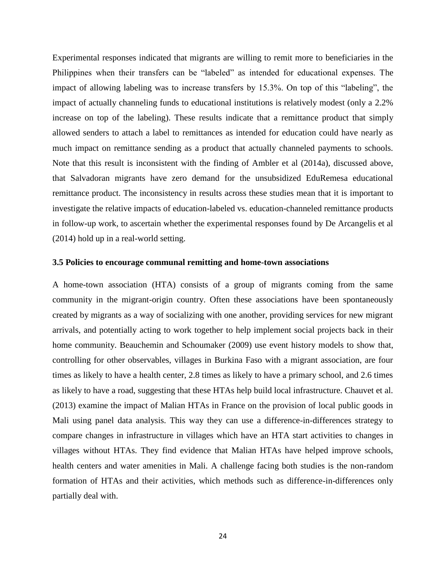Experimental responses indicated that migrants are willing to remit more to beneficiaries in the Philippines when their transfers can be "labeled" as intended for educational expenses. The impact of allowing labeling was to increase transfers by 15.3%. On top of this "labeling", the impact of actually channeling funds to educational institutions is relatively modest (only a 2.2% increase on top of the labeling). These results indicate that a remittance product that simply allowed senders to attach a label to remittances as intended for education could have nearly as much impact on remittance sending as a product that actually channeled payments to schools. Note that this result is inconsistent with the finding of Ambler et al (2014a), discussed above, that Salvadoran migrants have zero demand for the unsubsidized EduRemesa educational remittance product. The inconsistency in results across these studies mean that it is important to investigate the relative impacts of education-labeled vs. education-channeled remittance products in follow-up work, to ascertain whether the experimental responses found by De Arcangelis et al (2014) hold up in a real-world setting.

#### **3.5 Policies to encourage communal remitting and home-town associations**

A home-town association (HTA) consists of a group of migrants coming from the same community in the migrant-origin country. Often these associations have been spontaneously created by migrants as a way of socializing with one another, providing services for new migrant arrivals, and potentially acting to work together to help implement social projects back in their home community. Beauchemin and Schoumaker (2009) use event history models to show that, controlling for other observables, villages in Burkina Faso with a migrant association, are four times as likely to have a health center, 2.8 times as likely to have a primary school, and 2.6 times as likely to have a road, suggesting that these HTAs help build local infrastructure. Chauvet et al. (2013) examine the impact of Malian HTAs in France on the provision of local public goods in Mali using panel data analysis. This way they can use a difference-in-differences strategy to compare changes in infrastructure in villages which have an HTA start activities to changes in villages without HTAs. They find evidence that Malian HTAs have helped improve schools, health centers and water amenities in Mali. A challenge facing both studies is the non-random formation of HTAs and their activities, which methods such as difference-in-differences only partially deal with.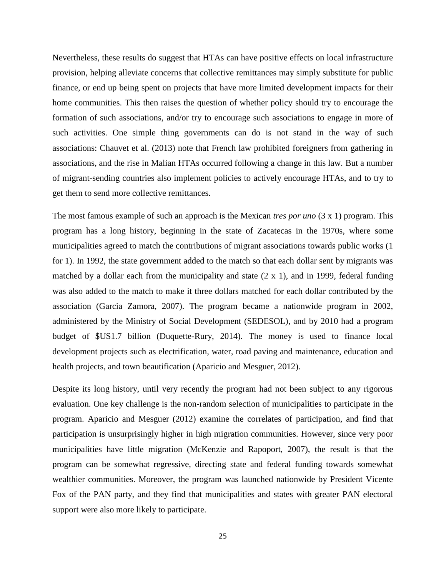Nevertheless, these results do suggest that HTAs can have positive effects on local infrastructure provision, helping alleviate concerns that collective remittances may simply substitute for public finance, or end up being spent on projects that have more limited development impacts for their home communities. This then raises the question of whether policy should try to encourage the formation of such associations, and/or try to encourage such associations to engage in more of such activities. One simple thing governments can do is not stand in the way of such associations: Chauvet et al. (2013) note that French law prohibited foreigners from gathering in associations, and the rise in Malian HTAs occurred following a change in this law. But a number of migrant-sending countries also implement policies to actively encourage HTAs, and to try to get them to send more collective remittances.

The most famous example of such an approach is the Mexican *tres por uno* (3 x 1) program. This program has a long history, beginning in the state of Zacatecas in the 1970s, where some municipalities agreed to match the contributions of migrant associations towards public works (1 for 1). In 1992, the state government added to the match so that each dollar sent by migrants was matched by a dollar each from the municipality and state (2 x 1), and in 1999, federal funding was also added to the match to make it three dollars matched for each dollar contributed by the association (Garcia Zamora, 2007). The program became a nationwide program in 2002, administered by the Ministry of Social Development (SEDESOL), and by 2010 had a program budget of \$US1.7 billion (Duquette-Rury, 2014). The money is used to finance local development projects such as electrification, water, road paving and maintenance, education and health projects, and town beautification (Aparicio and Mesguer, 2012).

Despite its long history, until very recently the program had not been subject to any rigorous evaluation. One key challenge is the non-random selection of municipalities to participate in the program. Aparicio and Mesguer (2012) examine the correlates of participation, and find that participation is unsurprisingly higher in high migration communities. However, since very poor municipalities have little migration (McKenzie and Rapoport, 2007), the result is that the program can be somewhat regressive, directing state and federal funding towards somewhat wealthier communities. Moreover, the program was launched nationwide by President Vicente Fox of the PAN party, and they find that municipalities and states with greater PAN electoral support were also more likely to participate.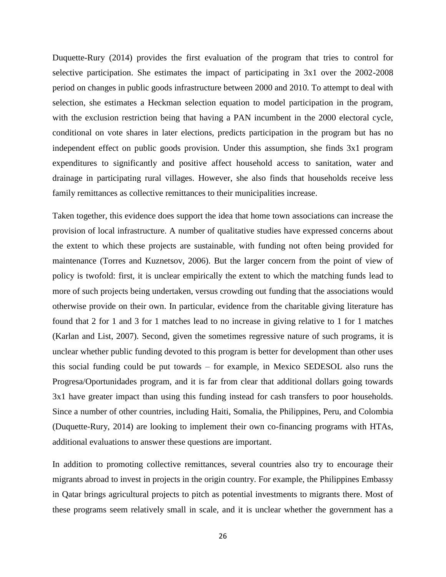Duquette-Rury (2014) provides the first evaluation of the program that tries to control for selective participation. She estimates the impact of participating in 3x1 over the 2002-2008 period on changes in public goods infrastructure between 2000 and 2010. To attempt to deal with selection, she estimates a Heckman selection equation to model participation in the program, with the exclusion restriction being that having a PAN incumbent in the 2000 electoral cycle, conditional on vote shares in later elections, predicts participation in the program but has no independent effect on public goods provision. Under this assumption, she finds 3x1 program expenditures to significantly and positive affect household access to sanitation, water and drainage in participating rural villages. However, she also finds that households receive less family remittances as collective remittances to their municipalities increase.

Taken together, this evidence does support the idea that home town associations can increase the provision of local infrastructure. A number of qualitative studies have expressed concerns about the extent to which these projects are sustainable, with funding not often being provided for maintenance (Torres and Kuznetsov, 2006). But the larger concern from the point of view of policy is twofold: first, it is unclear empirically the extent to which the matching funds lead to more of such projects being undertaken, versus crowding out funding that the associations would otherwise provide on their own. In particular, evidence from the charitable giving literature has found that 2 for 1 and 3 for 1 matches lead to no increase in giving relative to 1 for 1 matches (Karlan and List, 2007). Second, given the sometimes regressive nature of such programs, it is unclear whether public funding devoted to this program is better for development than other uses this social funding could be put towards – for example, in Mexico SEDESOL also runs the Progresa/Oportunidades program, and it is far from clear that additional dollars going towards 3x1 have greater impact than using this funding instead for cash transfers to poor households. Since a number of other countries, including Haiti, Somalia, the Philippines, Peru, and Colombia (Duquette-Rury, 2014) are looking to implement their own co-financing programs with HTAs, additional evaluations to answer these questions are important.

In addition to promoting collective remittances, several countries also try to encourage their migrants abroad to invest in projects in the origin country. For example, the Philippines Embassy in Qatar brings agricultural projects to pitch as potential investments to migrants there. Most of these programs seem relatively small in scale, and it is unclear whether the government has a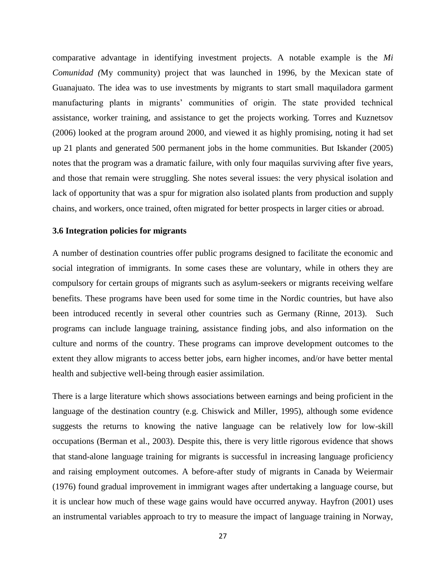comparative advantage in identifying investment projects. A notable example is the *Mi Comunidad (*My community) project that was launched in 1996, by the Mexican state of Guanajuato. The idea was to use investments by migrants to start small maquiladora garment manufacturing plants in migrants' communities of origin. The state provided technical assistance, worker training, and assistance to get the projects working. Torres and Kuznetsov (2006) looked at the program around 2000, and viewed it as highly promising, noting it had set up 21 plants and generated 500 permanent jobs in the home communities. But Iskander (2005) notes that the program was a dramatic failure, with only four maquilas surviving after five years, and those that remain were struggling. She notes several issues: the very physical isolation and lack of opportunity that was a spur for migration also isolated plants from production and supply chains, and workers, once trained, often migrated for better prospects in larger cities or abroad.

#### **3.6 Integration policies for migrants**

A number of destination countries offer public programs designed to facilitate the economic and social integration of immigrants. In some cases these are voluntary, while in others they are compulsory for certain groups of migrants such as asylum-seekers or migrants receiving welfare benefits. These programs have been used for some time in the Nordic countries, but have also been introduced recently in several other countries such as Germany (Rinne, 2013). Such programs can include language training, assistance finding jobs, and also information on the culture and norms of the country. These programs can improve development outcomes to the extent they allow migrants to access better jobs, earn higher incomes, and/or have better mental health and subjective well-being through easier assimilation.

There is a large literature which shows associations between earnings and being proficient in the language of the destination country (e.g. Chiswick and Miller, 1995), although some evidence suggests the returns to knowing the native language can be relatively low for low-skill occupations (Berman et al., 2003). Despite this, there is very little rigorous evidence that shows that stand-alone language training for migrants is successful in increasing language proficiency and raising employment outcomes. A before-after study of migrants in Canada by Weiermair (1976) found gradual improvement in immigrant wages after undertaking a language course, but it is unclear how much of these wage gains would have occurred anyway. Hayfron (2001) uses an instrumental variables approach to try to measure the impact of language training in Norway,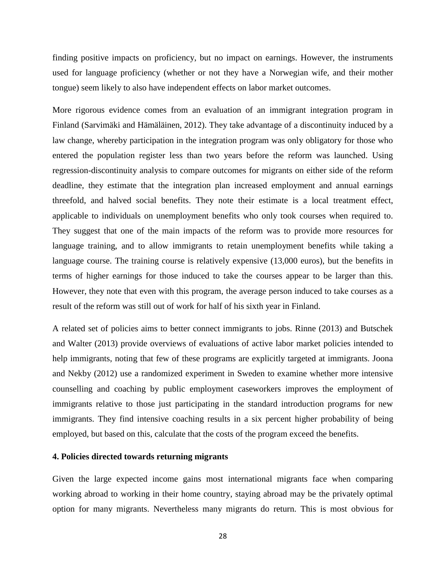finding positive impacts on proficiency, but no impact on earnings. However, the instruments used for language proficiency (whether or not they have a Norwegian wife, and their mother tongue) seem likely to also have independent effects on labor market outcomes.

More rigorous evidence comes from an evaluation of an immigrant integration program in Finland (Sarvimäki and Hämäläinen, 2012). They take advantage of a discontinuity induced by a law change, whereby participation in the integration program was only obligatory for those who entered the population register less than two years before the reform was launched. Using regression-discontinuity analysis to compare outcomes for migrants on either side of the reform deadline, they estimate that the integration plan increased employment and annual earnings threefold, and halved social benefits. They note their estimate is a local treatment effect, applicable to individuals on unemployment benefits who only took courses when required to. They suggest that one of the main impacts of the reform was to provide more resources for language training, and to allow immigrants to retain unemployment benefits while taking a language course. The training course is relatively expensive (13,000 euros), but the benefits in terms of higher earnings for those induced to take the courses appear to be larger than this. However, they note that even with this program, the average person induced to take courses as a result of the reform was still out of work for half of his sixth year in Finland.

A related set of policies aims to better connect immigrants to jobs. Rinne (2013) and Butschek and Walter (2013) provide overviews of evaluations of active labor market policies intended to help immigrants, noting that few of these programs are explicitly targeted at immigrants. Joona and Nekby (2012) use a randomized experiment in Sweden to examine whether more intensive counselling and coaching by public employment caseworkers improves the employment of immigrants relative to those just participating in the standard introduction programs for new immigrants. They find intensive coaching results in a six percent higher probability of being employed, but based on this, calculate that the costs of the program exceed the benefits.

#### **4. Policies directed towards returning migrants**

Given the large expected income gains most international migrants face when comparing working abroad to working in their home country, staying abroad may be the privately optimal option for many migrants. Nevertheless many migrants do return. This is most obvious for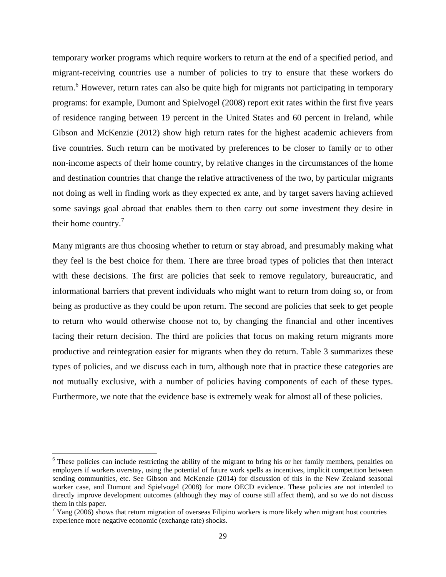temporary worker programs which require workers to return at the end of a specified period, and migrant-receiving countries use a number of policies to try to ensure that these workers do return.<sup>6</sup> However, return rates can also be quite high for migrants not participating in temporary programs: for example, Dumont and Spielvogel (2008) report exit rates within the first five years of residence ranging between 19 percent in the United States and 60 percent in Ireland, while Gibson and McKenzie (2012) show high return rates for the highest academic achievers from five countries. Such return can be motivated by preferences to be closer to family or to other non-income aspects of their home country, by relative changes in the circumstances of the home and destination countries that change the relative attractiveness of the two, by particular migrants not doing as well in finding work as they expected ex ante, and by target savers having achieved some savings goal abroad that enables them to then carry out some investment they desire in their home country.<sup>7</sup>

Many migrants are thus choosing whether to return or stay abroad, and presumably making what they feel is the best choice for them. There are three broad types of policies that then interact with these decisions. The first are policies that seek to remove regulatory, bureaucratic, and informational barriers that prevent individuals who might want to return from doing so, or from being as productive as they could be upon return. The second are policies that seek to get people to return who would otherwise choose not to, by changing the financial and other incentives facing their return decision. The third are policies that focus on making return migrants more productive and reintegration easier for migrants when they do return. Table 3 summarizes these types of policies, and we discuss each in turn, although note that in practice these categories are not mutually exclusive, with a number of policies having components of each of these types. Furthermore, we note that the evidence base is extremely weak for almost all of these policies.

 $\overline{a}$ 

<sup>&</sup>lt;sup>6</sup> These policies can include restricting the ability of the migrant to bring his or her family members, penalties on employers if workers overstay, using the potential of future work spells as incentives, implicit competition between sending communities, etc. See Gibson and McKenzie (2014) for discussion of this in the New Zealand seasonal worker case, and Dumont and Spielvogel (2008) for more OECD evidence. These policies are not intended to directly improve development outcomes (although they may of course still affect them), and so we do not discuss them in this paper.

 $7$  Yang (2006) shows that return migration of overseas Filipino workers is more likely when migrant host countries experience more negative economic (exchange rate) shocks.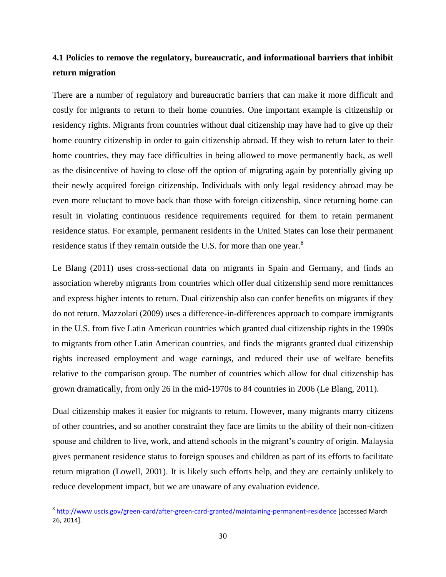# **4.1 Policies to remove the regulatory, bureaucratic, and informational barriers that inhibit return migration**

There are a number of regulatory and bureaucratic barriers that can make it more difficult and costly for migrants to return to their home countries. One important example is citizenship or residency rights. Migrants from countries without dual citizenship may have had to give up their home country citizenship in order to gain citizenship abroad. If they wish to return later to their home countries, they may face difficulties in being allowed to move permanently back, as well as the disincentive of having to close off the option of migrating again by potentially giving up their newly acquired foreign citizenship. Individuals with only legal residency abroad may be even more reluctant to move back than those with foreign citizenship, since returning home can result in violating continuous residence requirements required for them to retain permanent residence status. For example, permanent residents in the United States can lose their permanent residence status if they remain outside the U.S. for more than one year.<sup>8</sup>

Le Blang (2011) uses cross-sectional data on migrants in Spain and Germany, and finds an association whereby migrants from countries which offer dual citizenship send more remittances and express higher intents to return. Dual citizenship also can confer benefits on migrants if they do not return. Mazzolari (2009) uses a difference-in-differences approach to compare immigrants in the U.S. from five Latin American countries which granted dual citizenship rights in the 1990s to migrants from other Latin American countries, and finds the migrants granted dual citizenship rights increased employment and wage earnings, and reduced their use of welfare benefits relative to the comparison group. The number of countries which allow for dual citizenship has grown dramatically, from only 26 in the mid-1970s to 84 countries in 2006 (Le Blang, 2011).

Dual citizenship makes it easier for migrants to return. However, many migrants marry citizens of other countries, and so another constraint they face are limits to the ability of their non-citizen spouse and children to live, work, and attend schools in the migrant's country of origin. Malaysia gives permanent residence status to foreign spouses and children as part of its efforts to facilitate return migration (Lowell, 2001). It is likely such efforts help, and they are certainly unlikely to reduce development impact, but we are unaware of any evaluation evidence.

l

<sup>&</sup>lt;sup>8</sup> <http://www.uscis.gov/green-card/after-green-card-granted/maintaining-permanent-residence> [accessed March 26, 2014].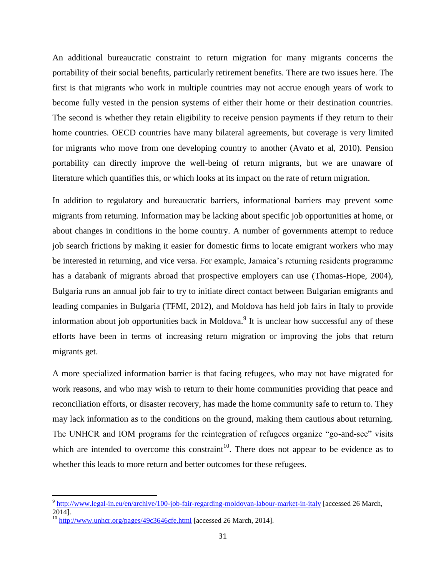An additional bureaucratic constraint to return migration for many migrants concerns the portability of their social benefits, particularly retirement benefits. There are two issues here. The first is that migrants who work in multiple countries may not accrue enough years of work to become fully vested in the pension systems of either their home or their destination countries. The second is whether they retain eligibility to receive pension payments if they return to their home countries. OECD countries have many bilateral agreements, but coverage is very limited for migrants who move from one developing country to another (Avato et al, 2010). Pension portability can directly improve the well-being of return migrants, but we are unaware of literature which quantifies this, or which looks at its impact on the rate of return migration.

In addition to regulatory and bureaucratic barriers, informational barriers may prevent some migrants from returning. Information may be lacking about specific job opportunities at home, or about changes in conditions in the home country. A number of governments attempt to reduce job search frictions by making it easier for domestic firms to locate emigrant workers who may be interested in returning, and vice versa. For example, Jamaica's returning residents programme has a databank of migrants abroad that prospective employers can use (Thomas-Hope, 2004), Bulgaria runs an annual job fair to try to initiate direct contact between Bulgarian emigrants and leading companies in Bulgaria (TFMI, 2012), and Moldova has held job fairs in Italy to provide information about job opportunities back in Moldova.<sup>9</sup> It is unclear how successful any of these efforts have been in terms of increasing return migration or improving the jobs that return migrants get.

A more specialized information barrier is that facing refugees, who may not have migrated for work reasons, and who may wish to return to their home communities providing that peace and reconciliation efforts, or disaster recovery, has made the home community safe to return to. They may lack information as to the conditions on the ground, making them cautious about returning. The UNHCR and IOM programs for the reintegration of refugees organize "go-and-see" visits which are intended to overcome this constraint<sup>10</sup>. There does not appear to be evidence as to whether this leads to more return and better outcomes for these refugees.

<sup>&</sup>lt;sup>9</sup> <http://www.legal-in.eu/en/archive/100-job-fair-regarding-moldovan-labour-market-in-italy> [accessed 26 March,  $20141$ .

<sup>&</sup>lt;sup>10</sup> <http://www.unhcr.org/pages/49c3646cfe.html> [accessed 26 March, 2014].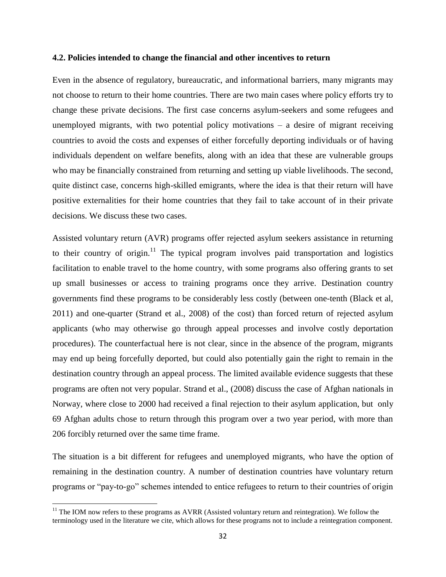#### **4.2. Policies intended to change the financial and other incentives to return**

Even in the absence of regulatory, bureaucratic, and informational barriers, many migrants may not choose to return to their home countries. There are two main cases where policy efforts try to change these private decisions. The first case concerns asylum-seekers and some refugees and unemployed migrants, with two potential policy motivations  $-$  a desire of migrant receiving countries to avoid the costs and expenses of either forcefully deporting individuals or of having individuals dependent on welfare benefits, along with an idea that these are vulnerable groups who may be financially constrained from returning and setting up viable livelihoods. The second, quite distinct case, concerns high-skilled emigrants, where the idea is that their return will have positive externalities for their home countries that they fail to take account of in their private decisions. We discuss these two cases.

Assisted voluntary return (AVR) programs offer rejected asylum seekers assistance in returning to their country of origin.<sup>11</sup> The typical program involves paid transportation and logistics facilitation to enable travel to the home country, with some programs also offering grants to set up small businesses or access to training programs once they arrive. Destination country governments find these programs to be considerably less costly (between one-tenth (Black et al, 2011) and one-quarter (Strand et al., 2008) of the cost) than forced return of rejected asylum applicants (who may otherwise go through appeal processes and involve costly deportation procedures). The counterfactual here is not clear, since in the absence of the program, migrants may end up being forcefully deported, but could also potentially gain the right to remain in the destination country through an appeal process. The limited available evidence suggests that these programs are often not very popular. Strand et al., (2008) discuss the case of Afghan nationals in Norway, where close to 2000 had received a final rejection to their asylum application, but only 69 Afghan adults chose to return through this program over a two year period, with more than 206 forcibly returned over the same time frame.

The situation is a bit different for refugees and unemployed migrants, who have the option of remaining in the destination country. A number of destination countries have voluntary return programs or "pay-to-go" schemes intended to entice refugees to return to their countries of origin

 $11$  The IOM now refers to these programs as AVRR (Assisted voluntary return and reintegration). We follow the terminology used in the literature we cite, which allows for these programs not to include a reintegration component.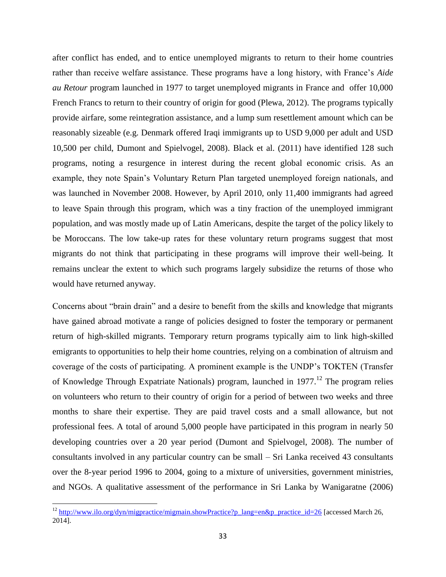after conflict has ended, and to entice unemployed migrants to return to their home countries rather than receive welfare assistance. These programs have a long history, with France's *Aide au Retour* program launched in 1977 to target unemployed migrants in France and offer 10,000 French Francs to return to their country of origin for good (Plewa, 2012). The programs typically provide airfare, some reintegration assistance, and a lump sum resettlement amount which can be reasonably sizeable (e.g. Denmark offered Iraqi immigrants up to USD 9,000 per adult and USD 10,500 per child, Dumont and Spielvogel, 2008). Black et al. (2011) have identified 128 such programs, noting a resurgence in interest during the recent global economic crisis. As an example, they note Spain's Voluntary Return Plan targeted unemployed foreign nationals, and was launched in November 2008. However, by April 2010, only 11,400 immigrants had agreed to leave Spain through this program, which was a tiny fraction of the unemployed immigrant population, and was mostly made up of Latin Americans, despite the target of the policy likely to be Moroccans. The low take-up rates for these voluntary return programs suggest that most migrants do not think that participating in these programs will improve their well-being. It remains unclear the extent to which such programs largely subsidize the returns of those who would have returned anyway.

Concerns about "brain drain" and a desire to benefit from the skills and knowledge that migrants have gained abroad motivate a range of policies designed to foster the temporary or permanent return of high-skilled migrants. Temporary return programs typically aim to link high-skilled emigrants to opportunities to help their home countries, relying on a combination of altruism and coverage of the costs of participating. A prominent example is the UNDP's TOKTEN (Transfer of Knowledge Through Expatriate Nationals) program, launched in 1977.<sup>12</sup> The program relies on volunteers who return to their country of origin for a period of between two weeks and three months to share their expertise. They are paid travel costs and a small allowance, but not professional fees. A total of around 5,000 people have participated in this program in nearly 50 developing countries over a 20 year period (Dumont and Spielvogel, 2008). The number of consultants involved in any particular country can be small – Sri Lanka received 43 consultants over the 8-year period 1996 to 2004, going to a mixture of universities, government ministries, and NGOs. A qualitative assessment of the performance in Sri Lanka by Wanigaratne (2006)

<sup>&</sup>lt;sup>12</sup> [http://www.ilo.org/dyn/migpractice/migmain.showPractice?p\\_lang=en&p\\_practice\\_id=26](http://www.ilo.org/dyn/migpractice/migmain.showPractice?p_lang=en&p_practice_id=26) [accessed March 26, 2014].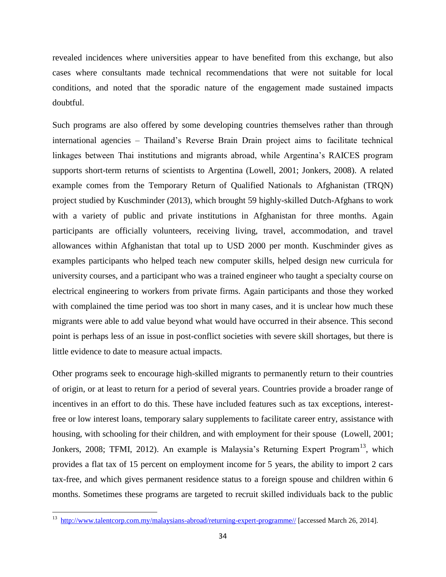revealed incidences where universities appear to have benefited from this exchange, but also cases where consultants made technical recommendations that were not suitable for local conditions, and noted that the sporadic nature of the engagement made sustained impacts doubtful.

Such programs are also offered by some developing countries themselves rather than through international agencies – Thailand's Reverse Brain Drain project aims to facilitate technical linkages between Thai institutions and migrants abroad, while Argentina's RAICES program supports short-term returns of scientists to Argentina (Lowell, 2001; Jonkers, 2008). A related example comes from the Temporary Return of Qualified Nationals to Afghanistan (TRQN) project studied by Kuschminder (2013), which brought 59 highly-skilled Dutch-Afghans to work with a variety of public and private institutions in Afghanistan for three months. Again participants are officially volunteers, receiving living, travel, accommodation, and travel allowances within Afghanistan that total up to USD 2000 per month. Kuschminder gives as examples participants who helped teach new computer skills, helped design new curricula for university courses, and a participant who was a trained engineer who taught a specialty course on electrical engineering to workers from private firms. Again participants and those they worked with complained the time period was too short in many cases, and it is unclear how much these migrants were able to add value beyond what would have occurred in their absence. This second point is perhaps less of an issue in post-conflict societies with severe skill shortages, but there is little evidence to date to measure actual impacts.

Other programs seek to encourage high-skilled migrants to permanently return to their countries of origin, or at least to return for a period of several years. Countries provide a broader range of incentives in an effort to do this. These have included features such as tax exceptions, interestfree or low interest loans, temporary salary supplements to facilitate career entry, assistance with housing, with schooling for their children, and with employment for their spouse (Lowell, 2001; Jonkers, 2008; TFMI, 2012). An example is Malaysia's Returning Expert Program<sup>13</sup>, which provides a flat tax of 15 percent on employment income for 5 years, the ability to import 2 cars tax-free, and which gives permanent residence status to a foreign spouse and children within 6 months. Sometimes these programs are targeted to recruit skilled individuals back to the public

<sup>&</sup>lt;sup>13</sup> [http://www.talentcorp.com.my/malaysians-abroad/returning-expert-programme//](http://www.talentcorp.com.my/) [accessed March 26, 2014].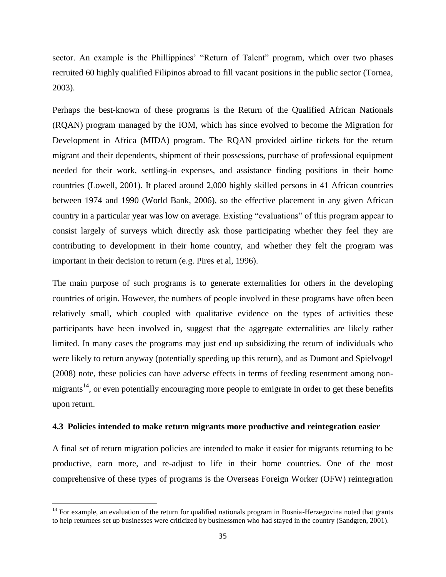sector. An example is the Phillippines' "Return of Talent" program, which over two phases recruited 60 highly qualified Filipinos abroad to fill vacant positions in the public sector (Tornea, 2003).

Perhaps the best-known of these programs is the Return of the Qualified African Nationals (RQAN) program managed by the IOM, which has since evolved to become the Migration for Development in Africa (MIDA) program. The RQAN provided airline tickets for the return migrant and their dependents, shipment of their possessions, purchase of professional equipment needed for their work, settling-in expenses, and assistance finding positions in their home countries (Lowell, 2001). It placed around 2,000 highly skilled persons in 41 African countries between 1974 and 1990 (World Bank, 2006), so the effective placement in any given African country in a particular year was low on average. Existing "evaluations" of this program appear to consist largely of surveys which directly ask those participating whether they feel they are contributing to development in their home country, and whether they felt the program was important in their decision to return (e.g. Pires et al, 1996).

The main purpose of such programs is to generate externalities for others in the developing countries of origin. However, the numbers of people involved in these programs have often been relatively small, which coupled with qualitative evidence on the types of activities these participants have been involved in, suggest that the aggregate externalities are likely rather limited. In many cases the programs may just end up subsidizing the return of individuals who were likely to return anyway (potentially speeding up this return), and as Dumont and Spielvogel (2008) note, these policies can have adverse effects in terms of feeding resentment among nonmigrants<sup>14</sup>, or even potentially encouraging more people to emigrate in order to get these benefits upon return.

#### **4.3 Policies intended to make return migrants more productive and reintegration easier**

A final set of return migration policies are intended to make it easier for migrants returning to be productive, earn more, and re-adjust to life in their home countries. One of the most comprehensive of these types of programs is the Overseas Foreign Worker (OFW) reintegration

 $14$  For example, an evaluation of the return for qualified nationals program in Bosnia-Herzegovina noted that grants to help returnees set up businesses were criticized by businessmen who had stayed in the country (Sandgren, 2001).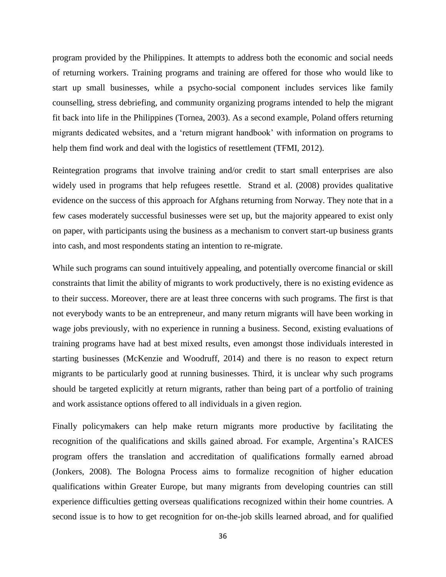program provided by the Philippines. It attempts to address both the economic and social needs of returning workers. Training programs and training are offered for those who would like to start up small businesses, while a psycho-social component includes services like family counselling, stress debriefing, and community organizing programs intended to help the migrant fit back into life in the Philippines (Tornea, 2003). As a second example, Poland offers returning migrants dedicated websites, and a 'return migrant handbook' with information on programs to help them find work and deal with the logistics of resettlement (TFMI, 2012).

Reintegration programs that involve training and/or credit to start small enterprises are also widely used in programs that help refugees resettle. Strand et al. (2008) provides qualitative evidence on the success of this approach for Afghans returning from Norway. They note that in a few cases moderately successful businesses were set up, but the majority appeared to exist only on paper, with participants using the business as a mechanism to convert start-up business grants into cash, and most respondents stating an intention to re-migrate.

While such programs can sound intuitively appealing, and potentially overcome financial or skill constraints that limit the ability of migrants to work productively, there is no existing evidence as to their success. Moreover, there are at least three concerns with such programs. The first is that not everybody wants to be an entrepreneur, and many return migrants will have been working in wage jobs previously, with no experience in running a business. Second, existing evaluations of training programs have had at best mixed results, even amongst those individuals interested in starting businesses (McKenzie and Woodruff, 2014) and there is no reason to expect return migrants to be particularly good at running businesses. Third, it is unclear why such programs should be targeted explicitly at return migrants, rather than being part of a portfolio of training and work assistance options offered to all individuals in a given region.

Finally policymakers can help make return migrants more productive by facilitating the recognition of the qualifications and skills gained abroad. For example, Argentina's RAICES program offers the translation and accreditation of qualifications formally earned abroad (Jonkers, 2008). The Bologna Process aims to formalize recognition of higher education qualifications within Greater Europe, but many migrants from developing countries can still experience difficulties getting overseas qualifications recognized within their home countries. A second issue is to how to get recognition for on-the-job skills learned abroad, and for qualified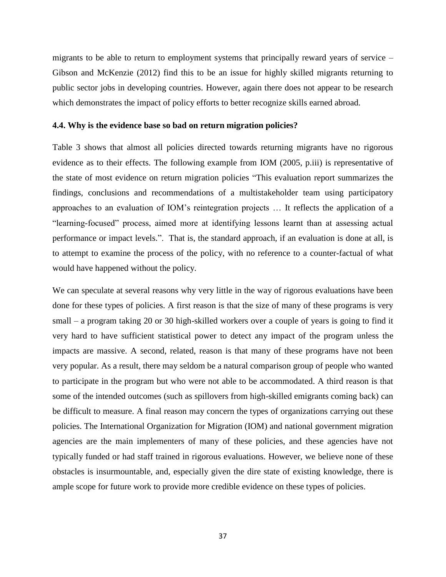migrants to be able to return to employment systems that principally reward years of service – Gibson and McKenzie (2012) find this to be an issue for highly skilled migrants returning to public sector jobs in developing countries. However, again there does not appear to be research which demonstrates the impact of policy efforts to better recognize skills earned abroad.

#### **4.4. Why is the evidence base so bad on return migration policies?**

Table 3 shows that almost all policies directed towards returning migrants have no rigorous evidence as to their effects. The following example from IOM (2005, p.iii) is representative of the state of most evidence on return migration policies "This evaluation report summarizes the findings, conclusions and recommendations of a multistakeholder team using participatory approaches to an evaluation of IOM's reintegration projects … It reflects the application of a "learning-focused" process, aimed more at identifying lessons learnt than at assessing actual performance or impact levels.". That is, the standard approach, if an evaluation is done at all, is to attempt to examine the process of the policy, with no reference to a counter-factual of what would have happened without the policy.

We can speculate at several reasons why very little in the way of rigorous evaluations have been done for these types of policies. A first reason is that the size of many of these programs is very small – a program taking 20 or 30 high-skilled workers over a couple of years is going to find it very hard to have sufficient statistical power to detect any impact of the program unless the impacts are massive. A second, related, reason is that many of these programs have not been very popular. As a result, there may seldom be a natural comparison group of people who wanted to participate in the program but who were not able to be accommodated. A third reason is that some of the intended outcomes (such as spillovers from high-skilled emigrants coming back) can be difficult to measure. A final reason may concern the types of organizations carrying out these policies. The International Organization for Migration (IOM) and national government migration agencies are the main implementers of many of these policies, and these agencies have not typically funded or had staff trained in rigorous evaluations. However, we believe none of these obstacles is insurmountable, and, especially given the dire state of existing knowledge, there is ample scope for future work to provide more credible evidence on these types of policies.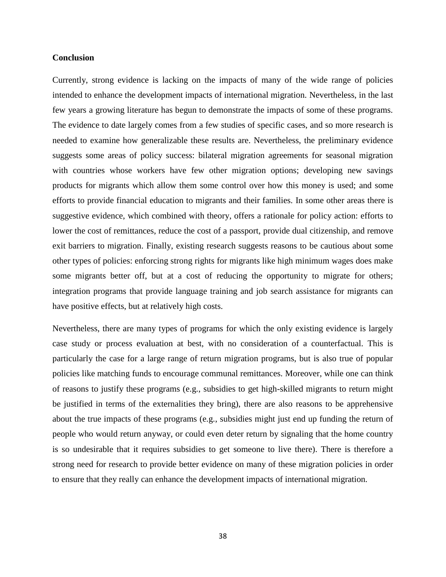#### **Conclusion**

Currently, strong evidence is lacking on the impacts of many of the wide range of policies intended to enhance the development impacts of international migration. Nevertheless, in the last few years a growing literature has begun to demonstrate the impacts of some of these programs. The evidence to date largely comes from a few studies of specific cases, and so more research is needed to examine how generalizable these results are. Nevertheless, the preliminary evidence suggests some areas of policy success: bilateral migration agreements for seasonal migration with countries whose workers have few other migration options; developing new savings products for migrants which allow them some control over how this money is used; and some efforts to provide financial education to migrants and their families. In some other areas there is suggestive evidence, which combined with theory, offers a rationale for policy action: efforts to lower the cost of remittances, reduce the cost of a passport, provide dual citizenship, and remove exit barriers to migration. Finally, existing research suggests reasons to be cautious about some other types of policies: enforcing strong rights for migrants like high minimum wages does make some migrants better off, but at a cost of reducing the opportunity to migrate for others; integration programs that provide language training and job search assistance for migrants can have positive effects, but at relatively high costs.

Nevertheless, there are many types of programs for which the only existing evidence is largely case study or process evaluation at best, with no consideration of a counterfactual. This is particularly the case for a large range of return migration programs, but is also true of popular policies like matching funds to encourage communal remittances. Moreover, while one can think of reasons to justify these programs (e.g., subsidies to get high-skilled migrants to return might be justified in terms of the externalities they bring), there are also reasons to be apprehensive about the true impacts of these programs (e.g., subsidies might just end up funding the return of people who would return anyway, or could even deter return by signaling that the home country is so undesirable that it requires subsidies to get someone to live there). There is therefore a strong need for research to provide better evidence on many of these migration policies in order to ensure that they really can enhance the development impacts of international migration.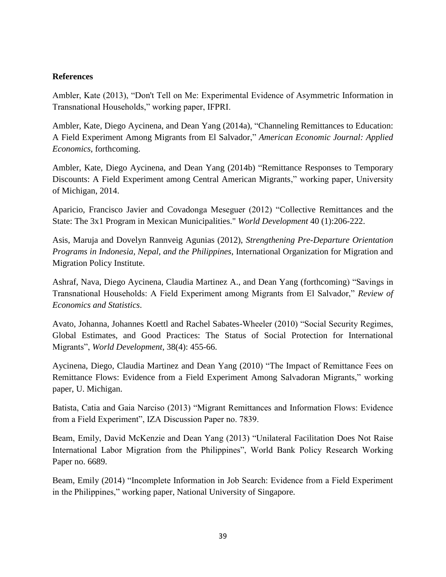#### **References**

Ambler, Kate (2013), "Don't Tell on Me: Experimental Evidence of Asymmetric Information in Transnational Households," working paper, IFPRI.

Ambler, Kate, Diego Aycinena, and Dean Yang (2014a), "Channeling Remittances to Education: A Field Experiment Among Migrants from El Salvador," *American Economic Journal: Applied Economics*, forthcoming.

Ambler, Kate, Diego Aycinena, and Dean Yang (2014b) "Remittance Responses to Temporary Discounts: A Field Experiment among Central American Migrants," working paper, University of Michigan, 2014.

Aparicio, Francisco Javier and Covadonga Meseguer (2012) "Collective Remittances and the State: The 3x1 Program in Mexican Municipalities." *World Development* 40 (1):206-222.

Asis, Maruja and Dovelyn Rannveig Agunias (2012), *Strengthening Pre-Departure Orientation Programs in Indonesia, Nepal, and the Philippines*, International Organization for Migration and Migration Policy Institute.

Ashraf, Nava, Diego Aycinena, Claudia Martinez A., and Dean Yang (forthcoming) "Savings in Transnational Households: A Field Experiment among Migrants from El Salvador," *Review of Economics and Statistics*.

Avato, Johanna, Johannes Koettl and Rachel Sabates-Wheeler (2010) "Social Security Regimes, Global Estimates, and Good Practices: The Status of Social Protection for International Migrants", *World Development*, 38(4): 455-66.

Aycinena, Diego, Claudia Martinez and Dean Yang (2010) "The Impact of Remittance Fees on Remittance Flows: Evidence from a Field Experiment Among Salvadoran Migrants," working paper, U. Michigan.

Batista, Catia and Gaia Narciso (2013) "Migrant Remittances and Information Flows: Evidence from a Field Experiment", IZA Discussion Paper no. 7839.

Beam, Emily, David McKenzie and Dean Yang (2013) "Unilateral Facilitation Does Not Raise International Labor Migration from the Philippines", World Bank Policy Research Working Paper no. 6689.

Beam, Emily (2014) "Incomplete Information in Job Search: Evidence from a Field Experiment in the Philippines," working paper, National University of Singapore.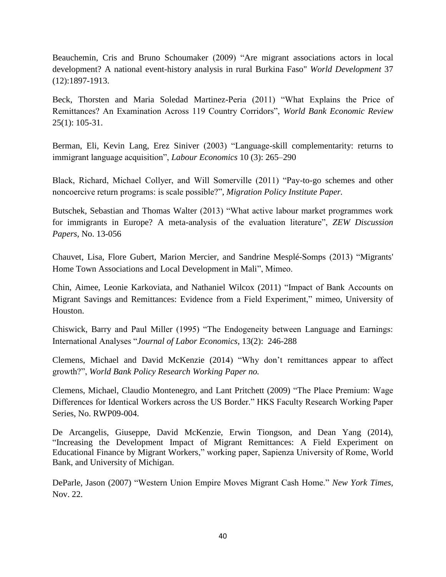Beauchemin, Cris and Bruno Schoumaker (2009) "Are migrant associations actors in local development? A national event-history analysis in rural Burkina Faso" *World Development* 37 (12):1897-1913.

Beck, Thorsten and Maria Soledad Martinez-Peria (2011) "What Explains the Price of Remittances? An Examination Across 119 Country Corridors", *World Bank Economic Review*  25(1): 105-31.

Berman, Eli, Kevin Lang, Erez Siniver (2003) "Language-skill complementarity: returns to immigrant language acquisition", *Labour Economics* 10 (3): 265–290

Black, Richard, Michael Collyer, and Will Somerville (2011) "Pay-to-go schemes and other noncoercive return programs: is scale possible?", *Migration Policy Institute Paper.*

Butschek, Sebastian and Thomas Walter (2013) "What active labour market programmes work for immigrants in Europe? A meta-analysis of the evaluation literature", *ZEW Discussion Papers*, No. 13-056

Chauvet, Lisa, Flore Gubert, Marion Mercier, and Sandrine Mesplé-Somps (2013) "Migrants' Home Town Associations and Local Development in Mali", Mimeo.

Chin, Aimee, Leonie Karkoviata, and Nathaniel Wilcox (2011) "Impact of Bank Accounts on Migrant Savings and Remittances: Evidence from a Field Experiment," mimeo, University of Houston.

Chiswick, Barry and Paul Miller (1995) "The Endogeneity between Language and Earnings: International Analyses "*Journal of Labor Economics*, 13(2): 246-288

Clemens, Michael and David McKenzie (2014) "Why don't remittances appear to affect growth?", *World Bank Policy Research Working Paper no.*

Clemens, Michael, Claudio Montenegro, and Lant Pritchett (2009) "The Place Premium: Wage Differences for Identical Workers across the US Border." HKS Faculty Research Working Paper Series, No. RWP09-004.

De Arcangelis, Giuseppe, David McKenzie, Erwin Tiongson, and Dean Yang (2014), "Increasing the Development Impact of Migrant Remittances: A Field Experiment on Educational Finance by Migrant Workers," working paper, Sapienza University of Rome, World Bank, and University of Michigan.

DeParle, Jason (2007) "Western Union Empire Moves Migrant Cash Home." *New York Times,* Nov. 22.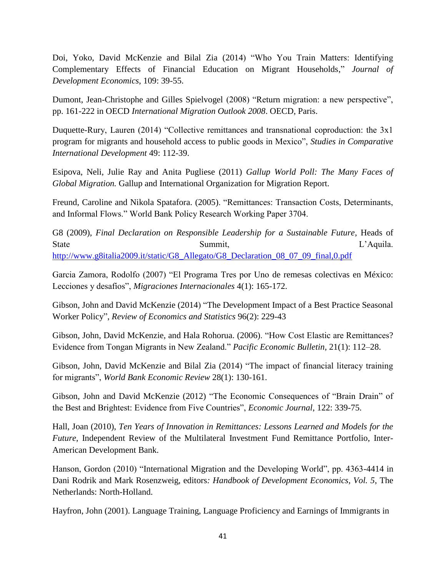Doi, Yoko, David McKenzie and Bilal Zia (2014) "Who You Train Matters: Identifying Complementary Effects of Financial Education on Migrant Households," *Journal of Development Economics*, 109: 39-55.

Dumont, Jean-Christophe and Gilles Spielvogel (2008) "Return migration: a new perspective", pp. 161-222 in OECD *International Migration Outlook 2008*. OECD, Paris.

Duquette-Rury, Lauren (2014) "Collective remittances and transnational coproduction: the 3x1 program for migrants and household access to public goods in Mexico", *Studies in Comparative International Development* 49: 112-39.

Esipova, Neli, Julie Ray and Anita Pugliese (2011) *Gallup World Poll: The Many Faces of Global Migration.* Gallup and International Organization for Migration Report.

Freund, Caroline and Nikola Spatafora. (2005). "Remittances: Transaction Costs, Determinants, and Informal Flows." World Bank Policy Research Working Paper 3704.

G8 (2009), *Final Declaration on Responsible Leadership for a Sustainable Future*, Heads of State Summit, Summit, L'Aquila. [http://www.g8italia2009.it/static/G8\\_Allegato/G8\\_Declaration\\_08\\_07\\_09\\_final,0.pdf](http://www.g8italia2009.it/static/G8_Allegato/G8_Declaration_08_07_09_final,0.pdf)

Garcia Zamora, Rodolfo (2007) "El Programa Tres por Uno de remesas colectivas en México: Lecciones y desafíos", *Migraciones Internacionales* 4(1): 165-172.

Gibson, John and David McKenzie (2014) "The Development Impact of a Best Practice Seasonal Worker Policy", *Review of Economics and Statistics* 96(2): 229-43

Gibson, John, David McKenzie, and Hala Rohorua. (2006). "How Cost Elastic are Remittances? Evidence from Tongan Migrants in New Zealand." *Pacific Economic Bulletin,* 21(1): 112–28.

Gibson, John, David McKenzie and Bilal Zia (2014) "The impact of financial literacy training for migrants", *World Bank Economic Review* 28(1): 130-161.

Gibson, John and David McKenzie (2012) "The Economic Consequences of "Brain Drain" of the Best and Brightest: Evidence from Five Countries", *Economic Journal*, 122: 339-75.

Hall, Joan (2010), *Ten Years of Innovation in Remittances: Lessons Learned and Models for the Future*, Independent Review of the Multilateral Investment Fund Remittance Portfolio, Inter-American Development Bank.

Hanson, Gordon (2010) "International Migration and the Developing World", pp. 4363-4414 in Dani Rodrik and Mark Rosenzweig, editors*: Handbook of Development Economics, Vol. 5*, The Netherlands: North-Holland.

Hayfron, John (2001). Language Training, Language Proficiency and Earnings of Immigrants in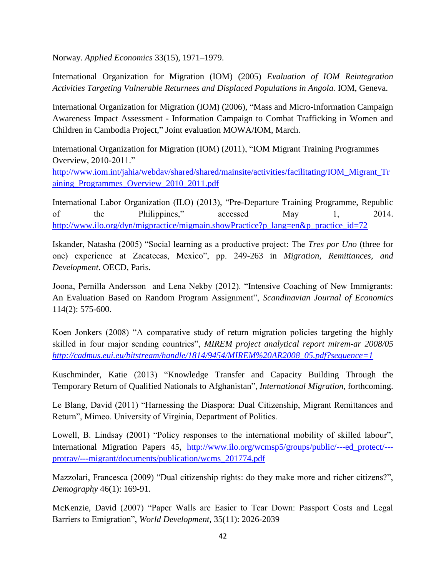Norway. *Applied Economics* 33(15), 1971–1979.

International Organization for Migration (IOM) (2005) *Evaluation of IOM Reintegration Activities Targeting Vulnerable Returnees and Displaced Populations in Angola.* IOM, Geneva.

International Organization for Migration (IOM) (2006), "Mass and Micro-Information Campaign Awareness Impact Assessment - Information Campaign to Combat Trafficking in Women and Children in Cambodia Project," Joint evaluation MOWA/IOM, March.

International Organization for Migration (IOM) (2011), "IOM Migrant Training Programmes Overview, 2010-2011."

[http://www.iom.int/jahia/webdav/shared/shared/mainsite/activities/facilitating/IOM\\_Migrant\\_Tr](http://www.iom.int/jahia/webdav/shared/shared/mainsite/activities/facilitating/IOM_Migrant_Training_Programmes_Overview_2010_2011.pdf) [aining\\_Programmes\\_Overview\\_2010\\_2011.pdf](http://www.iom.int/jahia/webdav/shared/shared/mainsite/activities/facilitating/IOM_Migrant_Training_Programmes_Overview_2010_2011.pdf)

International Labor Organization (ILO) (2013), "Pre-Departure Training Programme, Republic of the Philippines," accessed May 1, 2014. [http://www.ilo.org/dyn/migpractice/migmain.showPractice?p\\_lang=en&p\\_practice\\_id=72](http://www.ilo.org/dyn/migpractice/migmain.showPractice?p_lang=en&p_practice_id=72)

Iskander, Natasha (2005) "Social learning as a productive project: The *Tres por Uno* (three for one) experience at Zacatecas, Mexico", pp. 249-263 in *Migration, Remittances, and Development*. OECD, Paris.

Joona, Pernilla Andersson and Lena Nekby (2012). "Intensive Coaching of New Immigrants: An Evaluation Based on Random Program Assignment", *Scandinavian Journal of Economics*  114(2): 575-600.

Koen Jonkers (2008) "A comparative study of return migration policies targeting the highly skilled in four major sending countries", *MIREM project analytical report mirem-ar 2008/05 [http://cadmus.eui.eu/bitstream/handle/1814/9454/MIREM%20AR2008\\_05.pdf?sequence=1](http://cadmus.eui.eu/bitstream/handle/1814/9454/MIREM%20AR2008_05.pdf?sequence=1)*

Kuschminder, Katie (2013) "Knowledge Transfer and Capacity Building Through the Temporary Return of Qualified Nationals to Afghanistan", *International Migration*, forthcoming.

Le Blang, David (2011) "Harnessing the Diaspora: Dual Citizenship, Migrant Remittances and Return", Mimeo. University of Virginia, Department of Politics.

Lowell, B. Lindsay (2001) "Policy responses to the international mobility of skilled labour", International Migration Papers 45, [http://www.ilo.org/wcmsp5/groups/public/---ed\\_protect/--](http://www.ilo.org/wcmsp5/groups/public/---ed_protect/---protrav/---migrant/documents/publication/wcms_201774.pdf) [protrav/---migrant/documents/publication/wcms\\_201774.pdf](http://www.ilo.org/wcmsp5/groups/public/---ed_protect/---protrav/---migrant/documents/publication/wcms_201774.pdf)

Mazzolari, Francesca (2009) "Dual citizenship rights: do they make more and richer citizens?", *Demography* 46(1): 169-91.

McKenzie, David (2007) "Paper Walls are Easier to Tear Down: Passport Costs and Legal Barriers to Emigration", *World Development*, 35(11): 2026-2039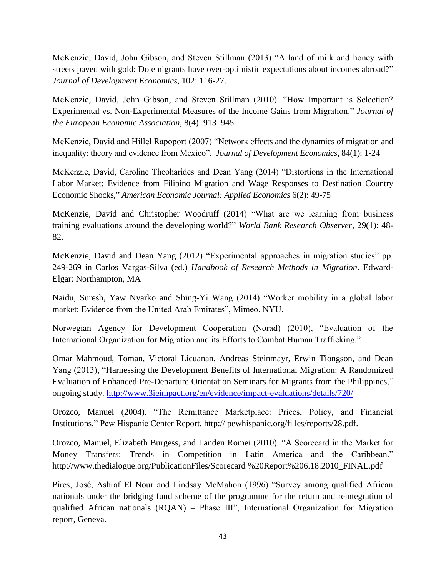McKenzie, David, John Gibson, and Steven Stillman (2013) "A land of milk and honey with streets paved with gold: Do emigrants have over-optimistic expectations about incomes abroad?" *Journal of Development Economics*, 102: 116-27.

McKenzie, David, John Gibson, and Steven Stillman (2010). "How Important is Selection? Experimental vs. Non-Experimental Measures of the Income Gains from Migration." *Journal of the European Economic Association*, 8(4): 913–945.

McKenzie, David and Hillel Rapoport (2007) "Network effects and the dynamics of migration and inequality: theory and evidence from Mexico", *Journal of Development Economics,* 84(1): 1-24

McKenzie, David, Caroline Theoharides and Dean Yang (2014) "Distortions in the International Labor Market: Evidence from Filipino Migration and Wage Responses to Destination Country Economic Shocks," *American Economic Journal: Applied Economics* 6(2): 49-75

McKenzie, David and Christopher Woodruff (2014) "What are we learning from business training evaluations around the developing world?" *World Bank Research Observer*, 29(1): 48- 82.

McKenzie, David and Dean Yang (2012) "Experimental approaches in migration studies" pp. 249-269 in Carlos Vargas-Silva (ed.) *Handbook of Research Methods in Migration*. Edward-Elgar: Northampton, MA

Naidu, Suresh, Yaw Nyarko and Shing-Yi Wang (2014) "Worker mobility in a global labor market: Evidence from the United Arab Emirates", Mimeo. NYU.

Norwegian Agency for Development Cooperation (Norad) (2010), "Evaluation of the International Organization for Migration and its Efforts to Combat Human Trafficking."

Omar Mahmoud, Toman, Victoral Licuanan, Andreas Steinmayr, Erwin Tiongson, and Dean Yang (2013), "Harnessing the Development Benefits of International Migration: A Randomized Evaluation of Enhanced Pre-Departure Orientation Seminars for Migrants from the Philippines," ongoing study.<http://www.3ieimpact.org/en/evidence/impact-evaluations/details/720/>

Orozco, Manuel (2004). "The Remittance Marketplace: Prices, Policy, and Financial Institutions," Pew Hispanic Center Report. http:// pewhispanic.org/fi les/reports/28.pdf.

Orozco, Manuel, Elizabeth Burgess, and Landen Romei (2010). "A Scorecard in the Market for Money Transfers: Trends in Competition in Latin America and the Caribbean." http://www.thedialogue.org/PublicationFiles/Scorecard %20Report%206.18.2010\_FINAL.pdf

Pires, José, Ashraf El Nour and Lindsay McMahon (1996) "Survey among qualified African nationals under the bridging fund scheme of the programme for the return and reintegration of qualified African nationals (RQAN) – Phase III", International Organization for Migration report, Geneva.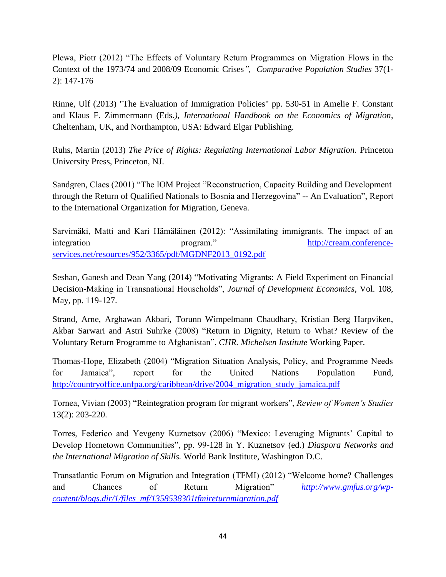Plewa, Piotr (2012) "The Effects of Voluntary Return Programmes on Migration Flows in the Context of the 1973/74 and 2008/09 Economic Crises*", Comparative Population Studies* 37(1- 2): 147-176

Rinne, Ulf (2013) "The Evaluation of Immigration Policies" pp. 530-51 in Amelie F. Constant and Klaus F. Zimmermann (Eds*.), International Handbook on the Economics of Migration*, Cheltenham, UK, and Northampton, USA: Edward Elgar Publishing.

Ruhs, Martin (2013) *The Price of Rights: Regulating International Labor Migration.* Princeton University Press, Princeton, NJ.

Sandgren, Claes (2001) "The IOM Project "Reconstruction, Capacity Building and Development through the Return of Qualified Nationals to Bosnia and Herzegovina" -- An Evaluation", Report to the International Organization for Migration, Geneva.

Sarvimäki, Matti and Kari Hämäläinen (2012): "Assimilating immigrants. The impact of an integration program." [http://cream.conference](http://cream.conference-services.net/resources/952/3365/pdf/MGDNF2013_0192.pdf)[services.net/resources/952/3365/pdf/MGDNF2013\\_0192.pdf](http://cream.conference-services.net/resources/952/3365/pdf/MGDNF2013_0192.pdf)

Seshan, Ganesh and Dean Yang (2014) "Motivating Migrants: A Field Experiment on Financial Decision-Making in Transnational Households", *Journal of Development Economics,* Vol. 108, May, pp. 119-127.

Strand, Arne, Arghawan Akbari, Torunn Wimpelmann Chaudhary, Kristian Berg Harpviken, Akbar Sarwari and Astri Suhrke (2008) "Return in Dignity, Return to What? Review of the Voluntary Return Programme to Afghanistan", *CHR. Michelsen Institute* Working Paper.

Thomas-Hope, Elizabeth (2004) "Migration Situation Analysis, Policy, and Programme Needs for Jamaica", report for the United Nations Population Fund, [http://countryoffice.unfpa.org/caribbean/drive/2004\\_migration\\_study\\_jamaica.pdf](http://countryoffice.unfpa.org/caribbean/drive/2004_migration_study_jamaica.pdf)

Tornea, Vivian (2003) "Reintegration program for migrant workers", *Review of Women's Studies*  13(2): 203-220.

Torres, Federico and Yevgeny Kuznetsov (2006) "Mexico: Leveraging Migrants' Capital to Develop Hometown Communities", pp. 99-128 in Y. Kuznetsov (ed.) *Diaspora Networks and the International Migration of Skills.* World Bank Institute, Washington D.C.

Transatlantic Forum on Migration and Integration (TFMI) (2012) "Welcome home? Challenges and Chances of Return Migration" *[http://www.gmfus.org/wp](http://www.gmfus.org/wp-content/blogs.dir/1/files_mf/1358538301tfmireturnmigration.pdf)[content/blogs.dir/1/files\\_mf/1358538301tfmireturnmigration.pdf](http://www.gmfus.org/wp-content/blogs.dir/1/files_mf/1358538301tfmireturnmigration.pdf)*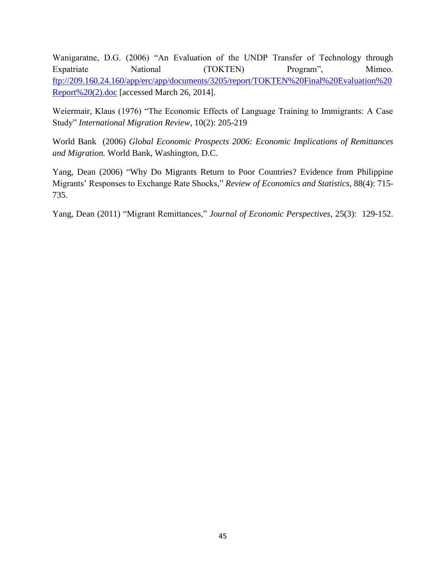Wanigaratne, D.G. (2006) "An Evaluation of the UNDP Transfer of Technology through Expatriate National (TOKTEN) Program", Mimeo. [ftp://209.160.24.160/app/erc/app/documents/3205/report/TOKTEN%20Final%20Evaluation%20](ftp://209.160.24.160/app/erc/app/documents/3205/report/TOKTEN Final Evaluation Report (2).doc) [Report%20\(2\).doc](ftp://209.160.24.160/app/erc/app/documents/3205/report/TOKTEN Final Evaluation Report (2).doc) [accessed March 26, 2014].

Weiermair, Klaus (1976) "The Economic Effects of Language Training to Immigrants: A Case Study" *International Migration Review*, 10(2): 205-219

World Bank (2006) *Global Economic Prospects 2006: Economic Implications of Remittances and Migration.* World Bank, Washington, D.C.

Yang, Dean (2006) "Why Do Migrants Return to Poor Countries? Evidence from Philippine Migrants' Responses to Exchange Rate Shocks," *Review of Economics and Statistics*, 88(4): 715- 735.

Yang, Dean (2011) "Migrant Remittances," *Journal of Economic Perspectives,* 25(3): 129-152.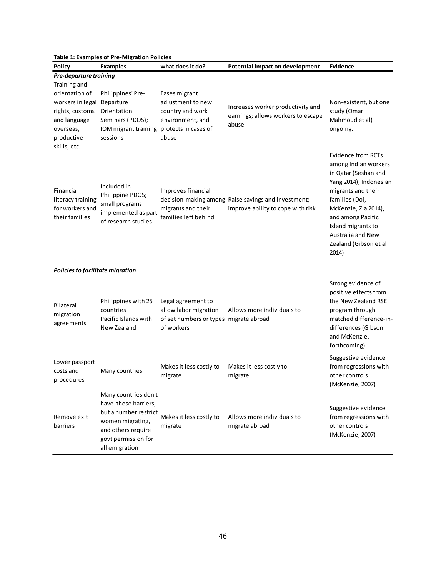| <b>Table 1: Examples of Pre-Migration Policies</b>                                               |                                                                                                                                                          |                                                                                                             |                                                                                          |                                                                                                                                                                                                                                                                       |  |  |
|--------------------------------------------------------------------------------------------------|----------------------------------------------------------------------------------------------------------------------------------------------------------|-------------------------------------------------------------------------------------------------------------|------------------------------------------------------------------------------------------|-----------------------------------------------------------------------------------------------------------------------------------------------------------------------------------------------------------------------------------------------------------------------|--|--|
| <b>Policy</b>                                                                                    | <b>Examples</b>                                                                                                                                          | what does it do?                                                                                            | Potential impact on development                                                          | <b>Evidence</b>                                                                                                                                                                                                                                                       |  |  |
| <b>Pre-departure training</b>                                                                    |                                                                                                                                                          |                                                                                                             |                                                                                          |                                                                                                                                                                                                                                                                       |  |  |
| Training and                                                                                     |                                                                                                                                                          |                                                                                                             |                                                                                          |                                                                                                                                                                                                                                                                       |  |  |
| orientation of<br>workers in legal<br>rights, customs<br>and language<br>overseas,<br>productive | Philippines' Pre-<br>Departure<br>Orientation<br>Seminars (PDOS);<br>IOM migrant training<br>sessions                                                    | Eases migrant<br>adjustment to new<br>country and work<br>environment, and<br>protects in cases of<br>abuse | Increases worker productivity and<br>earnings; allows workers to escape<br>abuse         | Non-existent, but one<br>study (Omar<br>Mahmoud et al)<br>ongoing.                                                                                                                                                                                                    |  |  |
| skills, etc.<br>Financial<br>literacy training<br>for workers and<br>their families              | Included in<br>Philippine PDOS;<br>small programs<br>implemented as part<br>of research studies                                                          | Improves financial<br>migrants and their<br>families left behind                                            | decision-making among Raise savings and investment;<br>improve ability to cope with risk | Evidence from RCTs<br>among Indian workers<br>in Qatar (Seshan and<br>Yang 2014), Indonesian<br>migrants and their<br>families (Doi,<br>McKenzie, Zia 2014),<br>and among Pacific<br>Island migrants to<br><b>Australia and New</b><br>Zealand (Gibson et al<br>2014) |  |  |
| Policies to facilitate migration                                                                 |                                                                                                                                                          |                                                                                                             |                                                                                          |                                                                                                                                                                                                                                                                       |  |  |
| <b>Bilateral</b><br>migration<br>agreements                                                      | Philippines with 25<br>countries<br>Pacific Islands with<br>New Zealand                                                                                  | Legal agreement to<br>allow labor migration<br>of set numbers or types migrate abroad<br>of workers         | Allows more individuals to                                                               | Strong evidence of<br>positive effects from<br>the New Zealand RSE<br>program through<br>matched difference-in-<br>differences (Gibson<br>and McKenzie,<br>forthcoming)                                                                                               |  |  |
| Lower passport<br>costs and<br>procedures                                                        | Many countries                                                                                                                                           | Makes it less costly to<br>migrate                                                                          | Makes it less costly to<br>migrate                                                       | Suggestive evidence<br>from regressions with<br>other controls<br>(McKenzie, 2007)                                                                                                                                                                                    |  |  |
| Remove exit<br>barriers                                                                          | Many countries don't<br>have these barriers,<br>but a number restrict<br>women migrating,<br>and others require<br>govt permission for<br>all emigration | Makes it less costly to<br>migrate                                                                          | Allows more individuals to<br>migrate abroad                                             | Suggestive evidence<br>from regressions with<br>other controls<br>(McKenzie, 2007)                                                                                                                                                                                    |  |  |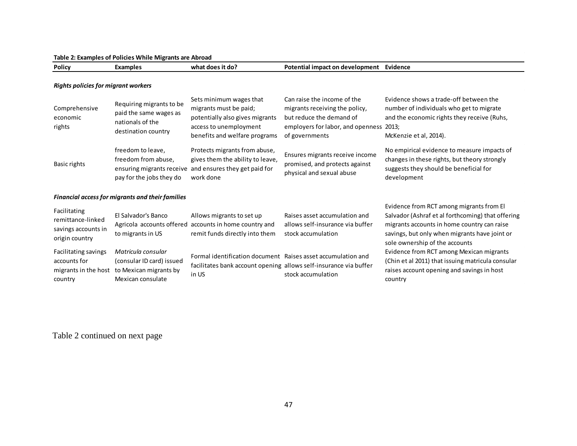#### **Table 2: Examples of Policies While Migrants are Abroad**

| <b>Policy</b> | Examples | what<br>`does it do. | il impact on development<br>Potential | Evidence |
|---------------|----------|----------------------|---------------------------------------|----------|
|               |          |                      |                                       |          |

#### *Rights policies for migrant workers*

| Comprehensive<br>economic<br>rights                                        | Requiring migrants to be<br>paid the same wages as<br>nationals of the<br>destination country     | Sets minimum wages that<br>migrants must be paid;<br>potentially also gives migrants<br>access to unemployment<br>benefits and welfare programs | Can raise the income of the<br>migrants receiving the policy,<br>but reduce the demand of<br>employers for labor, and openness<br>of governments | Evidence shows a trade-off between the<br>number of individuals who get to migrate<br>and the economic rights they receive (Ruhs,<br>2013;<br>McKenzie et al, 2014).                                                            |  |  |
|----------------------------------------------------------------------------|---------------------------------------------------------------------------------------------------|-------------------------------------------------------------------------------------------------------------------------------------------------|--------------------------------------------------------------------------------------------------------------------------------------------------|---------------------------------------------------------------------------------------------------------------------------------------------------------------------------------------------------------------------------------|--|--|
| <b>Basic rights</b>                                                        | freedom to leave,<br>freedom from abuse,<br>ensuring migrants receive<br>pay for the jobs they do | Protects migrants from abuse,<br>gives them the ability to leave,<br>and ensures they get paid for<br>work done                                 | Ensures migrants receive income<br>promised, and protects against<br>physical and sexual abuse                                                   | No empirical evidence to measure impacts of<br>changes in these rights, but theory strongly<br>suggests they should be beneficial for<br>development                                                                            |  |  |
| Financial access for migrants and their families                           |                                                                                                   |                                                                                                                                                 |                                                                                                                                                  |                                                                                                                                                                                                                                 |  |  |
| Facilitating<br>remittance-linked<br>savings accounts in<br>origin country | El Salvador's Banco<br>to migrants in US                                                          | Allows migrants to set up<br>Agricola accounts offered accounts in home country and<br>remit funds directly into them                           | Raises asset accumulation and<br>allows self-insurance via buffer<br>stock accumulation                                                          | Evidence from RCT among migrants from El<br>Salvador (Ashraf et al forthcoming) that offering<br>migrants accounts in home country can raise<br>savings, but only when migrants have joint or<br>sole ownership of the accounts |  |  |
| Facilitating savings<br>accounts for<br>migrants in the host<br>country    | Matricula consular<br>(consular ID card) issued<br>to Mexican migrants by<br>Mexican consulate    | Formal identification document Raises asset accumulation and<br>facilitates bank account opening allows self-insurance via buffer<br>in US      | stock accumulation                                                                                                                               | Evidence from RCT among Mexican migrants<br>(Chin et al 2011) that issuing matricula consular<br>raises account opening and savings in host<br>country                                                                          |  |  |

Table 2 continued on next page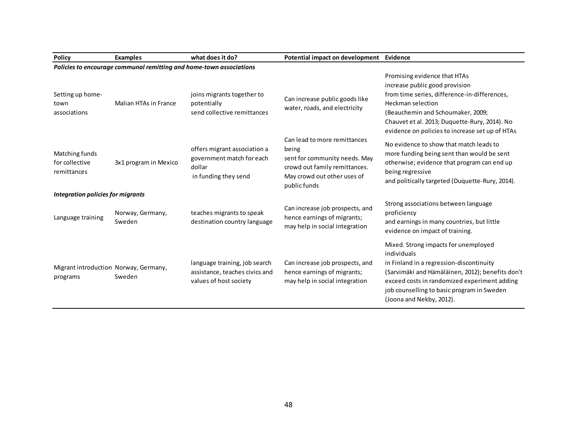| <b>Policy</b>                                                       | <b>Examples</b>            | what does it do?                                                                            | Potential impact on development Evidence                                                                                                               |                                                                                                                                                                                                                                                                                     |  |  |
|---------------------------------------------------------------------|----------------------------|---------------------------------------------------------------------------------------------|--------------------------------------------------------------------------------------------------------------------------------------------------------|-------------------------------------------------------------------------------------------------------------------------------------------------------------------------------------------------------------------------------------------------------------------------------------|--|--|
| Policies to encourage communal remitting and home-town associations |                            |                                                                                             |                                                                                                                                                        |                                                                                                                                                                                                                                                                                     |  |  |
| Setting up home-<br>town<br>associations                            | Malian HTAs in France      | joins migrants together to<br>potentially<br>send collective remittances                    | Can increase public goods like<br>water, roads, and electricity                                                                                        | Promising evidence that HTAs<br>increase public good provision<br>from time series, difference-in-differences,<br><b>Heckman selection</b><br>(Beauchemin and Schoumaker, 2009;<br>Chauvet et al. 2013; Duquette-Rury, 2014). No<br>evidence on policies to increase set up of HTAs |  |  |
| Matching funds<br>for collective<br>remittances                     | 3x1 program in Mexico      | offers migrant association a<br>government match for each<br>dollar<br>in funding they send | Can lead to more remittances<br>being<br>sent for community needs. May<br>crowd out family remittances.<br>May crowd out other uses of<br>public funds | No evidence to show that match leads to<br>more funding being sent than would be sent<br>otherwise; evidence that program can end up<br>being regressive<br>and politically targeted (Duquette-Rury, 2014).                                                                         |  |  |
| Integration policies for migrants                                   |                            |                                                                                             |                                                                                                                                                        |                                                                                                                                                                                                                                                                                     |  |  |
| Language training                                                   | Norway, Germany,<br>Sweden | teaches migrants to speak<br>destination country language                                   | Can increase job prospects, and<br>hence earnings of migrants;<br>may help in social integration                                                       | Strong associations between language<br>proficiency<br>and earnings in many countries, but little<br>evidence on impact of training.                                                                                                                                                |  |  |
| Migrant introduction Norway, Germany,<br>programs                   | Sweden                     | language training, job search<br>assistance, teaches civics and<br>values of host society   | Can increase job prospects, and<br>hence earnings of migrants;<br>may help in social integration                                                       | Mixed. Strong impacts for unemployed<br>individuals<br>in Finland in a regression-discontinuity<br>(Sarvimäki and Hämäläinen, 2012); benefits don't<br>exceed costs in randomized experiment adding<br>job counselling to basic program in Sweden<br>(Joona and Nekby, 2012).       |  |  |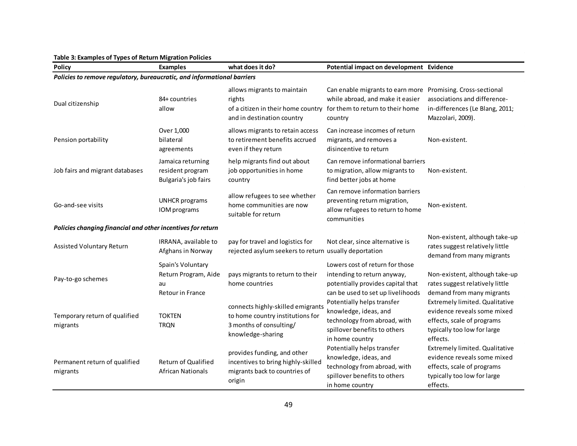| <b>Policy</b>                                                           | <b>Examples</b>                                                     | what does it do?                                                                                                                           | Potential impact on development Evidence                                                                                                 |                                                                                                                                        |  |
|-------------------------------------------------------------------------|---------------------------------------------------------------------|--------------------------------------------------------------------------------------------------------------------------------------------|------------------------------------------------------------------------------------------------------------------------------------------|----------------------------------------------------------------------------------------------------------------------------------------|--|
| Policies to remove regulatory, bureaucratic, and informational barriers |                                                                     |                                                                                                                                            |                                                                                                                                          |                                                                                                                                        |  |
| Dual citizenship                                                        | 84+ countries<br>allow                                              | allows migrants to maintain<br>rights<br>of a citizen in their home country for them to return to their home<br>and in destination country | Can enable migrants to earn more Promising. Cross-sectional<br>while abroad, and make it easier<br>country                               | associations and difference-<br>in-differences (Le Blang, 2011;<br>Mazzolari, 2009).                                                   |  |
| Pension portability                                                     | Over 1,000<br>bilateral<br>agreements                               | allows migrants to retain access<br>to retirement benefits accrued<br>even if they return                                                  | Can increase incomes of return<br>migrants, and removes a<br>disincentive to return                                                      | Non-existent.                                                                                                                          |  |
| Job fairs and migrant databases                                         | Jamaica returning<br>resident program<br>Bulgaria's job fairs       | help migrants find out about<br>job opportunities in home<br>country                                                                       | Can remove informational barriers<br>to migration, allow migrants to<br>find better jobs at home                                         | Non-existent.                                                                                                                          |  |
| Go-and-see visits                                                       | <b>UNHCR</b> programs<br>IOM programs                               | allow refugees to see whether<br>home communities are now<br>suitable for return                                                           | Can remove information barriers<br>preventing return migration,<br>allow refugees to return to home<br>communities                       | Non-existent.                                                                                                                          |  |
| Policies changing financial and other incentives for return             |                                                                     |                                                                                                                                            |                                                                                                                                          |                                                                                                                                        |  |
| Assisted Voluntary Return                                               | IRRANA, available to<br>Afghans in Norway                           | pay for travel and logistics for<br>rejected asylum seekers to return usually deportation                                                  | Not clear, since alternative is                                                                                                          | Non-existent, although take-up<br>rates suggest relatively little<br>demand from many migrants                                         |  |
| Pay-to-go schemes                                                       | Spain's Voluntary<br>Return Program, Aide<br>au<br>Retour in France | pays migrants to return to their<br>home countries                                                                                         | Lowers cost of return for those<br>intending to return anyway,<br>potentially provides capital that<br>can be used to set up livelihoods | Non-existent, although take-up<br>rates suggest relatively little<br>demand from many migrants                                         |  |
| Temporary return of qualified<br>migrants                               | <b>TOKTEN</b><br><b>TRQN</b>                                        | connects highly-skilled emigrants<br>to home country institutions for<br>3 months of consulting/<br>knowledge-sharing                      | Potentially helps transfer<br>knowledge, ideas, and<br>technology from abroad, with<br>spillover benefits to others<br>in home country   | Extremely limited. Qualitative<br>evidence reveals some mixed<br>effects, scale of programs<br>typically too low for large<br>effects. |  |
| Permanent return of qualified<br>migrants                               | <b>Return of Qualified</b><br><b>African Nationals</b>              | provides funding, and other<br>incentives to bring highly-skilled<br>migrants back to countries of<br>origin                               | Potentially helps transfer<br>knowledge, ideas, and<br>technology from abroad, with<br>spillover benefits to others<br>in home country   | Extremely limited. Qualitative<br>evidence reveals some mixed<br>effects, scale of programs<br>typically too low for large<br>effects. |  |

#### **Table 3: Examples of Types of Return Migration Policies**